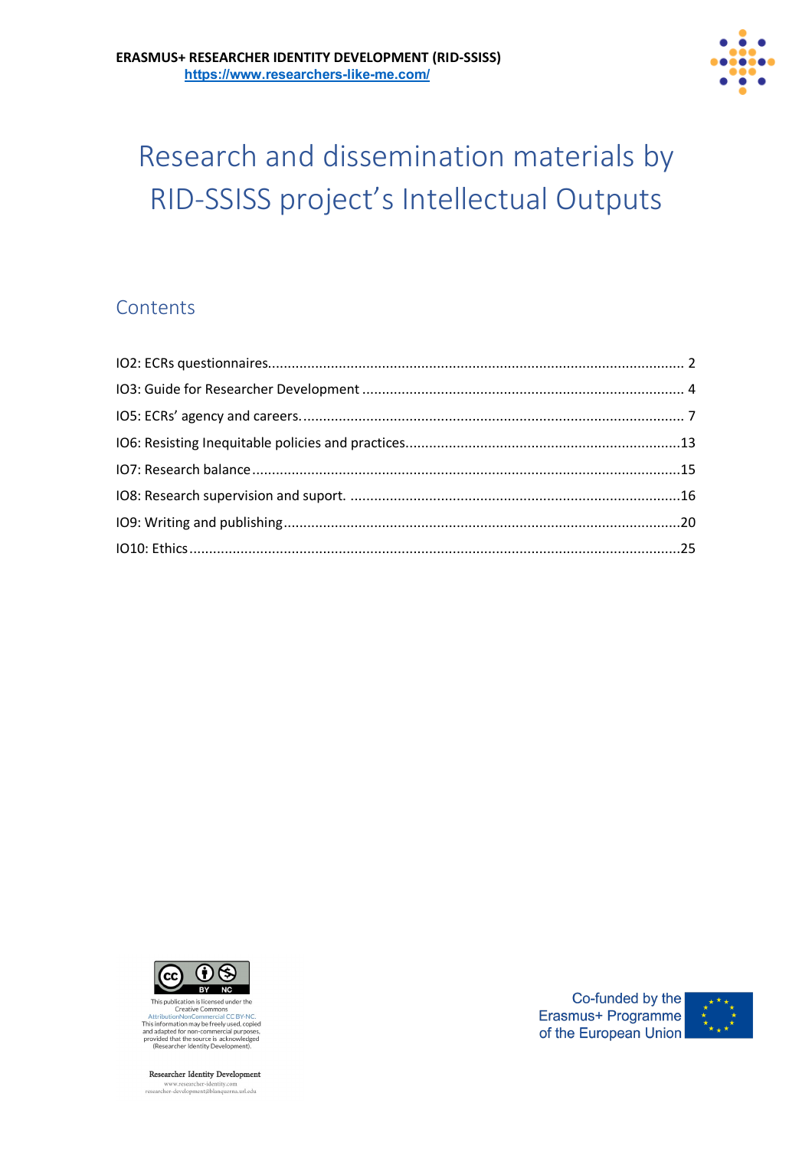

# Research and dissemination materials by RID-SSISS project's Intellectual Outputs

# **Contents**



Inis punctative Commons<br>Creative Commons<br>AttributionNonCommercial CC BY-NC.<br>This information may be freely used, copied This importancial for non-commercial purposes<br>and adapted for non-commercial purposes<br>provided that the source is acknowledged<br>(Researcher Identity Development).

Researcher Identity Development www.researcher-identity.com<br>researcher-development@blanquerna.url.edu

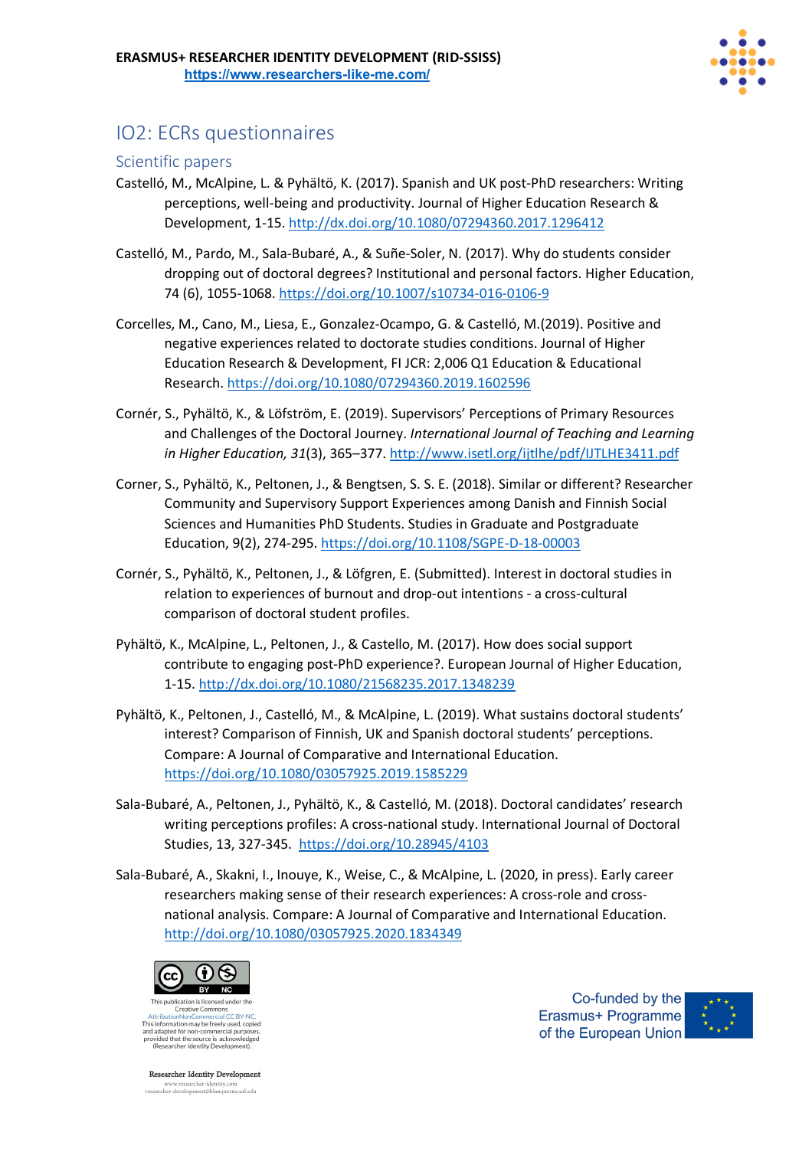

# IO2: ECRs questionnaires

### Scientific papers

- Castelló, M., McAlpine, L. & Pyhältö, K. (2017). Spanish and UK post-PhD researchers: Writing perceptions, well-being and productivity. Journal of Higher Education Research & Development, 1-15. http://dx.doi.org/10.1080/07294360.2017.1296412
- Castelló, M., Pardo, M., Sala-Bubaré, A., & Suñe-Soler, N. (2017). Why do students consider dropping out of doctoral degrees? Institutional and personal factors. Higher Education, 74 (6), 1055-1068. https://doi.org/10.1007/s10734-016-0106-9
- Corcelles, M., Cano, M., Liesa, E., Gonzalez-Ocampo, G. & Castelló, M.(2019). Positive and negative experiences related to doctorate studies conditions. Journal of Higher Education Research & Development, FI JCR: 2,006 Q1 Education & Educational Research. https://doi.org/10.1080/07294360.2019.1602596
- Cornér, S., Pyhältö, K., & Löfström, E. (2019). Supervisors' Perceptions of Primary Resources and Challenges of the Doctoral Journey. *International Journal of Teaching and Learning in Higher Education, 31*(3), 365–377. http://www.isetl.org/ijtlhe/pdf/IJTLHE3411.pdf
- Corner, S., Pyhältö, K., Peltonen, J., & Bengtsen, S. S. E. (2018). Similar or different? Researcher Community and Supervisory Support Experiences among Danish and Finnish Social Sciences and Humanities PhD Students. Studies in Graduate and Postgraduate Education, 9(2), 274-295. https://doi.org/10.1108/SGPE-D-18-00003
- Cornér, S., Pyhältö, K., Peltonen, J., & Löfgren, E. (Submitted). Interest in doctoral studies in relation to experiences of burnout and drop-out intentions - a cross-cultural comparison of doctoral student profiles.
- Pyhältö, K., McAlpine, L., Peltonen, J., & Castello, M. (2017). How does social support contribute to engaging post-PhD experience?. European Journal of Higher Education, 1-15. http://dx.doi.org/10.1080/21568235.2017.1348239
- Pyhältö, K., Peltonen, J., Castelló, M., & McAlpine, L. (2019). What sustains doctoral students' interest? Comparison of Finnish, UK and Spanish doctoral students' perceptions. Compare: A Journal of Comparative and International Education. https://doi.org/10.1080/03057925.2019.1585229
- Sala-Bubaré, A., Peltonen, J., Pyhältö, K., & Castelló, M. (2018). Doctoral candidates' research writing perceptions profiles: A cross-national study. International Journal of Doctoral Studies, 13, 327-345. https://doi.org/10.28945/4103
- Sala-Bubaré, A., Skakni, I., Inouye, K., Weise, C., & McAlpine, L. (2020, in press). Early career researchers making sense of their research experiences: A cross-role and crossnational analysis. Compare: A Journal of Comparative and International Education. http://doi.org/10.1080/03057925.2020.1834349



Creative Commons nons<br>rial CC RV-This information may be freely used, copied and adapted for non-commercial purpose<br>provided that the source is acknowledge<br>(Researcher Identity Development).

**Researcher Identity Development** www.researcher-identity.com<br>researcher-development@blanquerna.url.edu

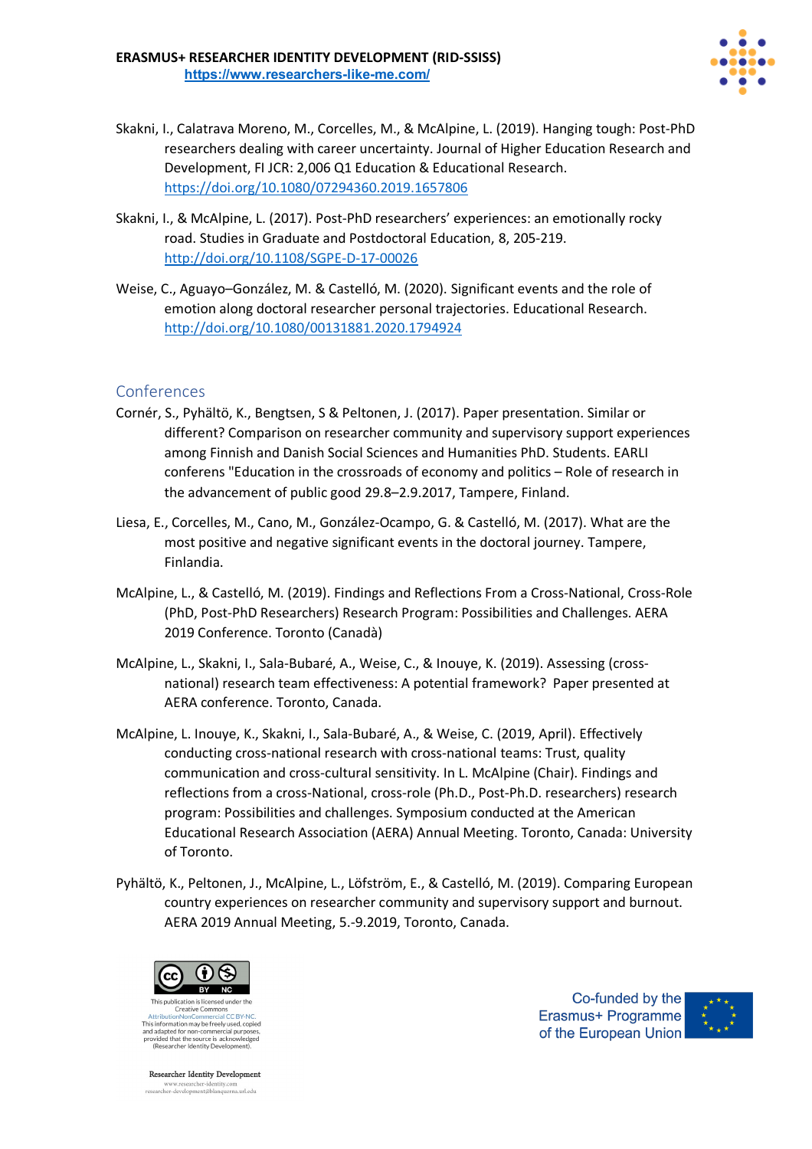

- Skakni, I., Calatrava Moreno, M., Corcelles, M., & McAlpine, L. (2019). Hanging tough: Post-PhD researchers dealing with career uncertainty. Journal of Higher Education Research and Development, FI JCR: 2,006 Q1 Education & Educational Research. https://doi.org/10.1080/07294360.2019.1657806
- Skakni, I., & McAlpine, L. (2017). Post-PhD researchers' experiences: an emotionally rocky road. Studies in Graduate and Postdoctoral Education, 8, 205-219. http://doi.org/10.1108/SGPE-D-17-00026
- Weise, C., Aguayo–González, M. & Castelló, M. (2020). Significant events and the role of emotion along doctoral researcher personal trajectories. Educational Research. http://doi.org/10.1080/00131881.2020.1794924

- Cornér, S., Pyhältö, K., Bengtsen, S & Peltonen, J. (2017). Paper presentation. Similar or different? Comparison on researcher community and supervisory support experiences among Finnish and Danish Social Sciences and Humanities PhD. Students. EARLI conferens "Education in the crossroads of economy and politics – Role of research in the advancement of public good 29.8–2.9.2017, Tampere, Finland.
- Liesa, E., Corcelles, M., Cano, M., González-Ocampo, G. & Castelló, M. (2017). What are the most positive and negative significant events in the doctoral journey. Tampere, Finlandia.
- McAlpine, L., & Castelló, M. (2019). Findings and Reflections From a Cross-National, Cross-Role (PhD, Post-PhD Researchers) Research Program: Possibilities and Challenges. AERA 2019 Conference. Toronto (Canadà)
- McAlpine, L., Skakni, I., Sala-Bubaré, A., Weise, C., & Inouye, K. (2019). Assessing (crossnational) research team effectiveness: A potential framework? Paper presented at AERA conference. Toronto, Canada.
- McAlpine, L. Inouye, K., Skakni, I., Sala-Bubaré, A., & Weise, C. (2019, April). Effectively conducting cross-national research with cross-national teams: Trust, quality communication and cross-cultural sensitivity. In L. McAlpine (Chair). Findings and reflections from a cross-National, cross-role (Ph.D., Post-Ph.D. researchers) research program: Possibilities and challenges. Symposium conducted at the American Educational Research Association (AERA) Annual Meeting. Toronto, Canada: University of Toronto.
- Pyhältö, K., Peltonen, J., McAlpine, L., Löfström, E., & Castelló, M. (2019). Comparing European country experiences on researcher community and supervisory support and burnout. AERA 2019 Annual Meeting, 5.-9.2019, Toronto, Canada.



This information may be freely used, copied and adapted for non-commercial purpose<br>provided that the source is acknowledge<br>(Researcher Identity Development).

**Researcher Identity Development** www.researcher-identity.com<br>researcher-development@blanquerna.url.edu

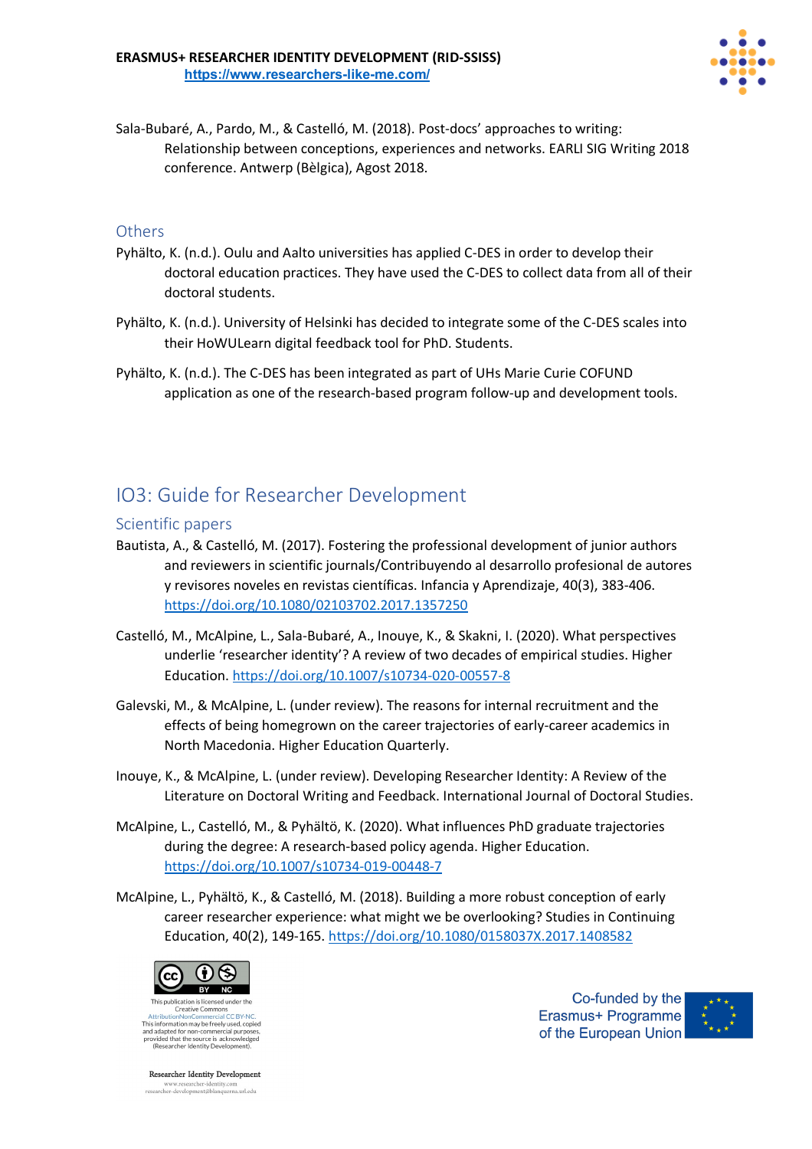

Sala-Bubaré, A., Pardo, M., & Castelló, M. (2018). Post-docs' approaches to writing: Relationship between conceptions, experiences and networks. EARLI SIG Writing 2018 conference. Antwerp (Bèlgica), Agost 2018.

### **Others**

- Pyhälto, K. (n.d.). Oulu and Aalto universities has applied C-DES in order to develop their doctoral education practices. They have used the C-DES to collect data from all of their doctoral students.
- Pyhälto, K. (n.d.). University of Helsinki has decided to integrate some of the C-DES scales into their HoWULearn digital feedback tool for PhD. Students.
- Pyhälto, K. (n.d.). The C-DES has been integrated as part of UHs Marie Curie COFUND application as one of the research-based program follow-up and development tools.

# IO3: Guide for Researcher Development

#### Scientific papers

- Bautista, A., & Castelló, M. (2017). Fostering the professional development of junior authors and reviewers in scientific journals/Contribuyendo al desarrollo profesional de autores y revisores noveles en revistas científicas. Infancia y Aprendizaje, 40(3), 383-406. https://doi.org/10.1080/02103702.2017.1357250
- Castelló, M., McAlpine, L., Sala-Bubaré, A., Inouye, K., & Skakni, I. (2020). What perspectives underlie 'researcher identity'? A review of two decades of empirical studies. Higher Education. https://doi.org/10.1007/s10734-020-00557-8
- Galevski, M., & McAlpine, L. (under review). The reasons for internal recruitment and the effects of being homegrown on the career trajectories of early-career academics in North Macedonia. Higher Education Quarterly.
- Inouye, K., & McAlpine, L. (under review). Developing Researcher Identity: A Review of the Literature on Doctoral Writing and Feedback. International Journal of Doctoral Studies.
- McAlpine, L., Castelló, M., & Pyhältö, K. (2020). What influences PhD graduate trajectories during the degree: A research-based policy agenda. Higher Education. https://doi.org/10.1007/s10734-019-00448-7
- McAlpine, L., Pyhältö, K., & Castelló, M. (2018). Building a more robust conception of early career researcher experience: what might we be overlooking? Studies in Continuing Education, 40(2), 149-165. https://doi.org/10.1080/0158037X.2017.1408582



Creative Commons This information may be freely used, copied and adapted for non-commercial purpose<br>provided that the source is acknowledge<br>(Researcher Identity Development).

**Researcher Identity Development** www.researcher-identity.com<br>researcher-development@blanquerna.url.edu

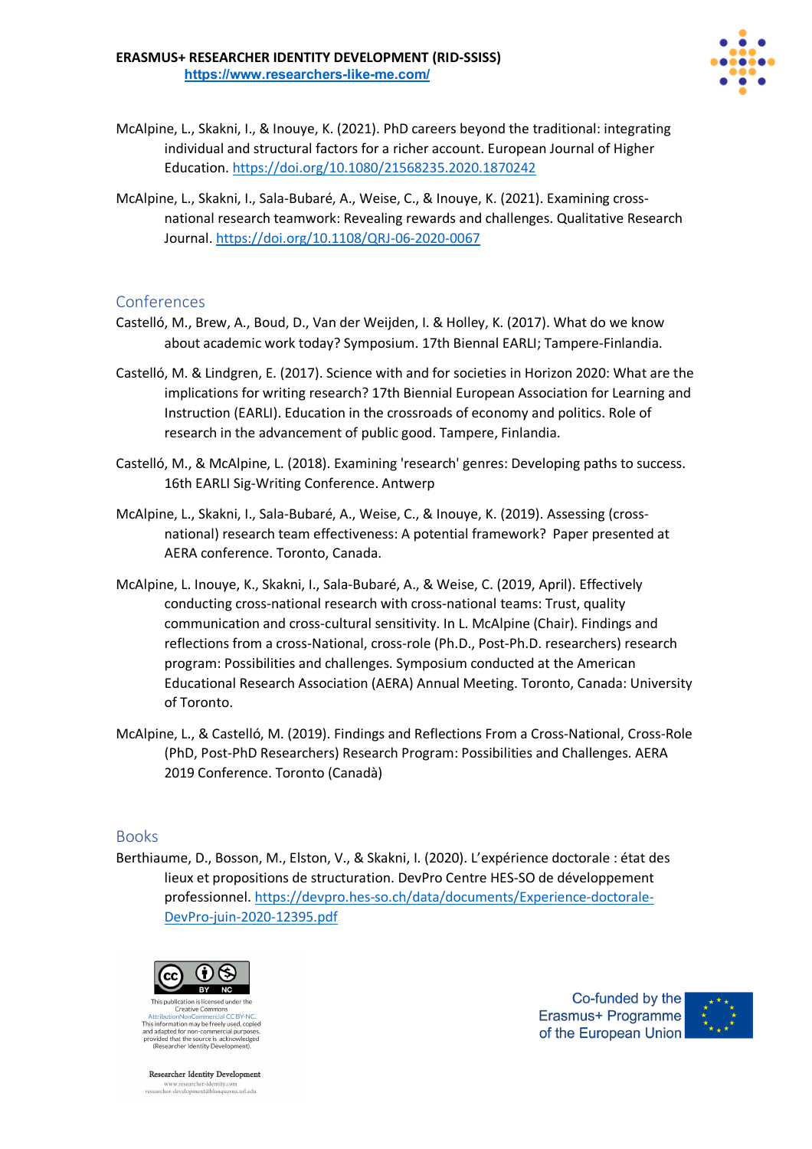

- McAlpine, L., Skakni, I., & Inouye, K. (2021). PhD careers beyond the traditional: integrating individual and structural factors for a richer account. European Journal of Higher Education. https://doi.org/10.1080/21568235.2020.1870242
- McAlpine, L., Skakni, I., Sala-Bubaré, A., Weise, C., & Inouye, K. (2021). Examining crossnational research teamwork: Revealing rewards and challenges. Qualitative Research Journal. https://doi.org/10.1108/QRJ-06-2020-0067

- Castelló, M., Brew, A., Boud, D., Van der Weijden, I. & Holley, K. (2017). What do we know about academic work today? Symposium. 17th Biennal EARLI; Tampere-Finlandia.
- Castelló, M. & Lindgren, E. (2017). Science with and for societies in Horizon 2020: What are the implications for writing research? 17th Biennial European Association for Learning and Instruction (EARLI). Education in the crossroads of economy and politics. Role of research in the advancement of public good. Tampere, Finlandia.
- Castelló, M., & McAlpine, L. (2018). Examining 'research' genres: Developing paths to success. 16th EARLI Sig-Writing Conference. Antwerp
- McAlpine, L., Skakni, I., Sala-Bubaré, A., Weise, C., & Inouye, K. (2019). Assessing (crossnational) research team effectiveness: A potential framework? Paper presented at AERA conference. Toronto, Canada.
- McAlpine, L. Inouye, K., Skakni, I., Sala-Bubaré, A., & Weise, C. (2019, April). Effectively conducting cross-national research with cross-national teams: Trust, quality communication and cross-cultural sensitivity. In L. McAlpine (Chair). Findings and reflections from a cross-National, cross-role (Ph.D., Post-Ph.D. researchers) research program: Possibilities and challenges. Symposium conducted at the American Educational Research Association (AERA) Annual Meeting. Toronto, Canada: University of Toronto.
- McAlpine, L., & Castelló, M. (2019). Findings and Reflections From a Cross-National, Cross-Role (PhD, Post-PhD Researchers) Research Program: Possibilities and Challenges. AERA 2019 Conference. Toronto (Canadà)

### Books

Berthiaume, D., Bosson, M., Elston, V., & Skakni, I. (2020). L'expérience doctorale : état des lieux et propositions de structuration. DevPro Centre HES-SO de développement professionnel. https://devpro.hes-so.ch/data/documents/Experience-doctorale-DevPro-juin-2020-12395.pdf



Creative Commons nons<br>rial CC RV-This information may be freely used, copied and adapted for non-commercial purposes,<br>provided that the source is acknowledged<br>(Researcher Identity Development).

**Researcher Identity Development** www.researcher-identity.com<br>researcher-development@blanquerna.url.edu

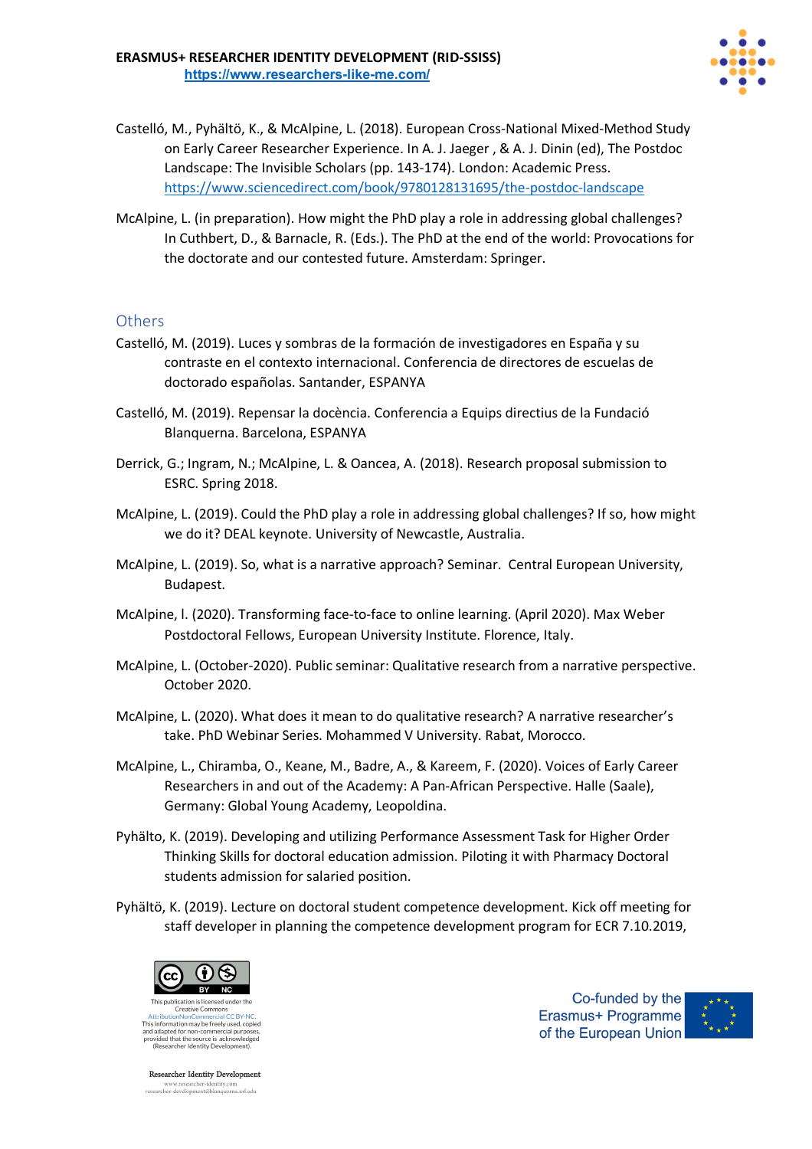

- Castelló, M., Pyhältö, K., & McAlpine, L. (2018). European Cross-National Mixed-Method Study on Early Career Researcher Experience. In A. J. Jaeger , & A. J. Dinin (ed), The Postdoc Landscape: The Invisible Scholars (pp. 143-174). London: Academic Press. https://www.sciencedirect.com/book/9780128131695/the-postdoc-landscape
- McAlpine, L. (in preparation). How might the PhD play a role in addressing global challenges? In Cuthbert, D., & Barnacle, R. (Eds.). The PhD at the end of the world: Provocations for the doctorate and our contested future. Amsterdam: Springer.

### **Others**

- Castelló, M. (2019). Luces y sombras de la formación de investigadores en España y su contraste en el contexto internacional. Conferencia de directores de escuelas de doctorado españolas. Santander, ESPANYA
- Castelló, M. (2019). Repensar la docència. Conferencia a Equips directius de la Fundació Blanquerna. Barcelona, ESPANYA
- Derrick, G.; Ingram, N.; McAlpine, L. & Oancea, A. (2018). Research proposal submission to ESRC. Spring 2018.
- McAlpine, L. (2019). Could the PhD play a role in addressing global challenges? If so, how might we do it? DEAL keynote. University of Newcastle, Australia.
- McAlpine, L. (2019). So, what is a narrative approach? Seminar. Central European University, Budapest.
- McAlpine, l. (2020). Transforming face-to-face to online learning. (April 2020). Max Weber Postdoctoral Fellows, European University Institute. Florence, Italy.
- McAlpine, L. (October-2020). Public seminar: Qualitative research from a narrative perspective. October 2020.
- McAlpine, L. (2020). What does it mean to do qualitative research? A narrative researcher's take. PhD Webinar Series. Mohammed V University. Rabat, Morocco.
- McAlpine, L., Chiramba, O., Keane, M., Badre, A., & Kareem, F. (2020). Voices of Early Career Researchers in and out of the Academy: A Pan-African Perspective. Halle (Saale), Germany: Global Young Academy, Leopoldina.
- Pyhälto, K. (2019). Developing and utilizing Performance Assessment Task for Higher Order Thinking Skills for doctoral education admission. Piloting it with Pharmacy Doctoral students admission for salaried position.
- Pyhältö, K. (2019). Lecture on doctoral student competence development. Kick off meeting for staff developer in planning the competence development program for ECR 7.10.2019,



This information may be freely used, copied and adapted for non-commercial purposes,<br>provided that the source is acknowledged<br>(Researcher Identity Development).

**Researcher Identity Development** www.researcher-identity.com<br>researcher-development@blanquerna.url.edu

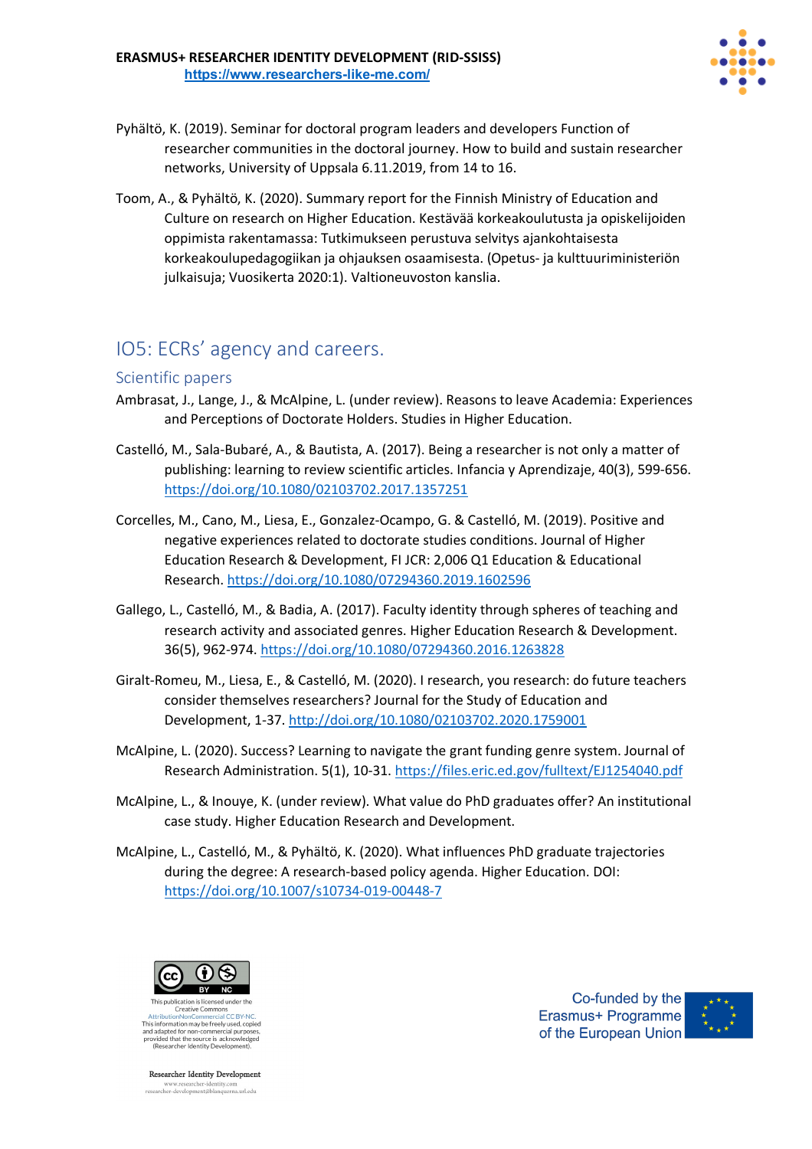

- Pyhältö, K. (2019). Seminar for doctoral program leaders and developers Function of researcher communities in the doctoral journey. How to build and sustain researcher networks, University of Uppsala 6.11.2019, from 14 to 16.
- Toom, A., & Pyhältö, K. (2020). Summary report for the Finnish Ministry of Education and Culture on research on Higher Education. Kestävää korkeakoulutusta ja opiskelijoiden oppimista rakentamassa: Tutkimukseen perustuva selvitys ajankohtaisesta korkeakoulupedagogiikan ja ohjauksen osaamisesta. (Opetus- ja kulttuuriministeriön julkaisuja; Vuosikerta 2020:1). Valtioneuvoston kanslia.

# IO5: ECRs' agency and careers.

### Scientific papers

- Ambrasat, J., Lange, J., & McAlpine, L. (under review). Reasons to leave Academia: Experiences and Perceptions of Doctorate Holders. Studies in Higher Education.
- Castelló, M., Sala-Bubaré, A., & Bautista, A. (2017). Being a researcher is not only a matter of publishing: learning to review scientific articles. Infancia y Aprendizaje, 40(3), 599-656. https://doi.org/10.1080/02103702.2017.1357251
- Corcelles, M., Cano, M., Liesa, E., Gonzalez-Ocampo, G. & Castelló, M. (2019). Positive and negative experiences related to doctorate studies conditions. Journal of Higher Education Research & Development, FI JCR: 2,006 Q1 Education & Educational Research. https://doi.org/10.1080/07294360.2019.1602596
- Gallego, L., Castelló, M., & Badia, A. (2017). Faculty identity through spheres of teaching and research activity and associated genres. Higher Education Research & Development. 36(5), 962-974. https://doi.org/10.1080/07294360.2016.1263828
- Giralt-Romeu, M., Liesa, E., & Castelló, M. (2020). I research, you research: do future teachers consider themselves researchers? Journal for the Study of Education and Development, 1-37. http://doi.org/10.1080/02103702.2020.1759001
- McAlpine, L. (2020). Success? Learning to navigate the grant funding genre system. Journal of Research Administration. 5(1), 10-31. https://files.eric.ed.gov/fulltext/EJ1254040.pdf
- McAlpine, L., & Inouye, K. (under review). What value do PhD graduates offer? An institutional case study. Higher Education Research and Development.
- McAlpine, L., Castelló, M., & Pyhältö, K. (2020). What influences PhD graduate trajectories during the degree: A research-based policy agenda. Higher Education. DOI: https://doi.org/10.1007/s10734-019-00448-7



Creative Commons This information may be freely used, copied and adapted for non-commercial purpose<br>provided that the source is acknowledge<br>(Researcher Identity Development).

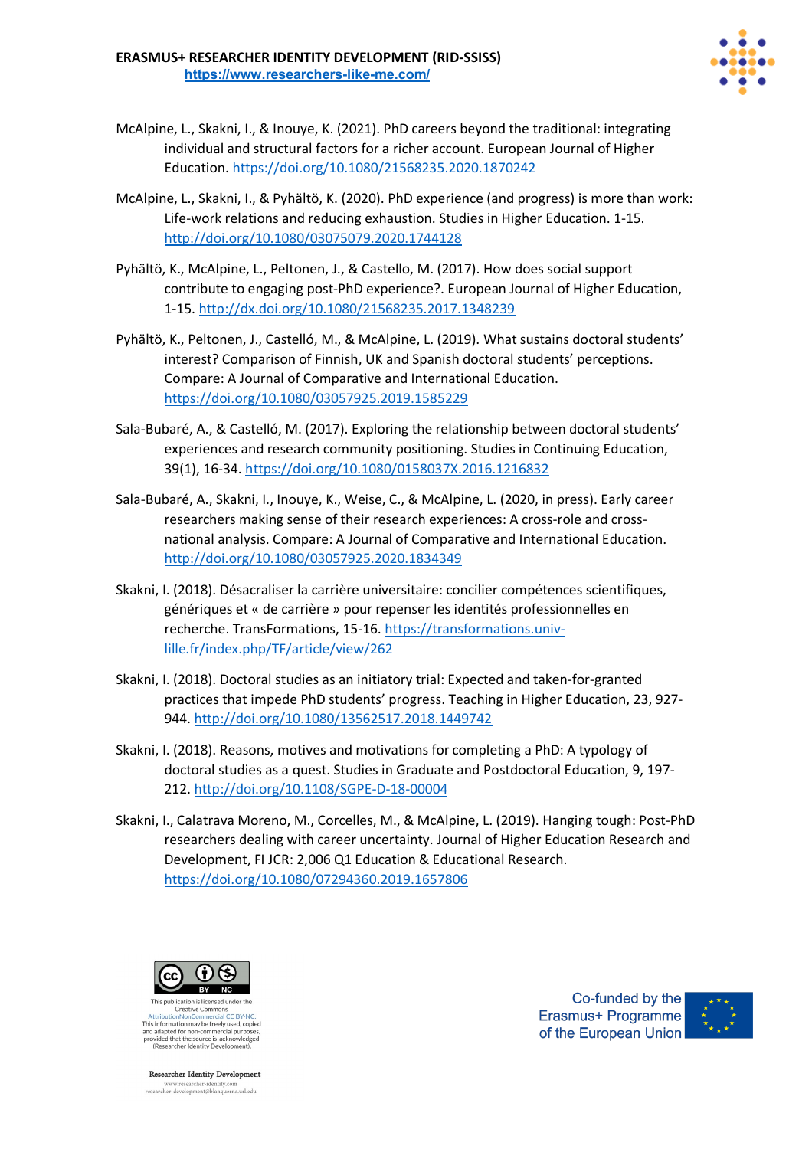

- McAlpine, L., Skakni, I., & Inouye, K. (2021). PhD careers beyond the traditional: integrating individual and structural factors for a richer account. European Journal of Higher Education. https://doi.org/10.1080/21568235.2020.1870242
- McAlpine, L., Skakni, I., & Pyhältö, K. (2020). PhD experience (and progress) is more than work: Life-work relations and reducing exhaustion. Studies in Higher Education. 1-15. http://doi.org/10.1080/03075079.2020.1744128
- Pyhältö, K., McAlpine, L., Peltonen, J., & Castello, M. (2017). How does social support contribute to engaging post-PhD experience?. European Journal of Higher Education, 1-15. http://dx.doi.org/10.1080/21568235.2017.1348239
- Pyhältö, K., Peltonen, J., Castelló, M., & McAlpine, L. (2019). What sustains doctoral students' interest? Comparison of Finnish, UK and Spanish doctoral students' perceptions. Compare: A Journal of Comparative and International Education. https://doi.org/10.1080/03057925.2019.1585229
- Sala-Bubaré, A., & Castelló, M. (2017). Exploring the relationship between doctoral students' experiences and research community positioning. Studies in Continuing Education, 39(1), 16-34. https://doi.org/10.1080/0158037X.2016.1216832
- Sala-Bubaré, A., Skakni, I., Inouye, K., Weise, C., & McAlpine, L. (2020, in press). Early career researchers making sense of their research experiences: A cross-role and crossnational analysis. Compare: A Journal of Comparative and International Education. http://doi.org/10.1080/03057925.2020.1834349
- Skakni, I. (2018). Désacraliser la carrière universitaire: concilier compétences scientifiques, génériques et « de carrière » pour repenser les identités professionnelles en recherche. TransFormations, 15-16. https://transformations.univlille.fr/index.php/TF/article/view/262
- Skakni, I. (2018). Doctoral studies as an initiatory trial: Expected and taken-for-granted practices that impede PhD students' progress. Teaching in Higher Education, 23, 927- 944. http://doi.org/10.1080/13562517.2018.1449742
- Skakni, I. (2018). Reasons, motives and motivations for completing a PhD: A typology of doctoral studies as a quest. Studies in Graduate and Postdoctoral Education, 9, 197- 212. http://doi.org/10.1108/SGPE-D-18-00004
- Skakni, I., Calatrava Moreno, M., Corcelles, M., & McAlpine, L. (2019). Hanging tough: Post-PhD researchers dealing with career uncertainty. Journal of Higher Education Research and Development, FI JCR: 2,006 Q1 Education & Educational Research. https://doi.org/10.1080/07294360.2019.1657806



Creative Commons This information may be freely used, copied and adapted for non-commercial purpose<br>provided that the source is acknowledge<br>(Researcher Identity Development).

**Researcher Identity Development** www.researcher-identity.com<br>researcher-development@blanquerna.url.edu

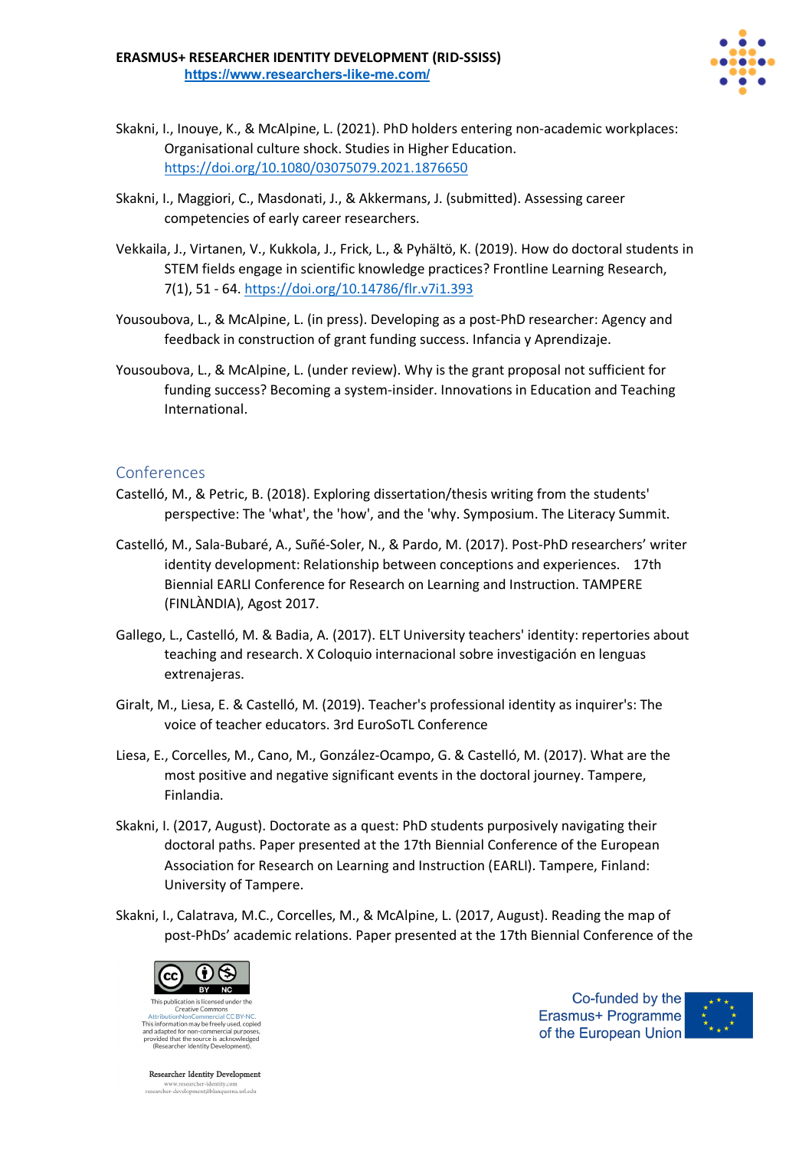

- Skakni, I., Inouye, K., & McAlpine, L. (2021). PhD holders entering non-academic workplaces: Organisational culture shock. Studies in Higher Education. https://doi.org/10.1080/03075079.2021.1876650
- Skakni, I., Maggiori, C., Masdonati, J., & Akkermans, J. (submitted). Assessing career competencies of early career researchers.
- Vekkaila, J., Virtanen, V., Kukkola, J., Frick, L., & Pyhältö, K. (2019). How do doctoral students in STEM fields engage in scientific knowledge practices? Frontline Learning Research, 7(1), 51 - 64. https://doi.org/10.14786/flr.v7i1.393
- Yousoubova, L., & McAlpine, L. (in press). Developing as a post-PhD researcher: Agency and feedback in construction of grant funding success. Infancia y Aprendizaje.
- Yousoubova, L., & McAlpine, L. (under review). Why is the grant proposal not sufficient for funding success? Becoming a system-insider. Innovations in Education and Teaching International.

- Castelló, M., & Petric, B. (2018). Exploring dissertation/thesis writing from the students' perspective: The 'what', the 'how', and the 'why. Symposium. The Literacy Summit.
- Castelló, M., Sala-Bubaré, A., Suñé-Soler, N., & Pardo, M. (2017). Post-PhD researchers' writer identity development: Relationship between conceptions and experiences. 17th Biennial EARLI Conference for Research on Learning and Instruction. TAMPERE (FINLÀNDIA), Agost 2017.
- Gallego, L., Castelló, M. & Badia, A. (2017). ELT University teachers' identity: repertories about teaching and research. X Coloquio internacional sobre investigación en lenguas extrenajeras.
- Giralt, M., Liesa, E. & Castelló, M. (2019). Teacher's professional identity as inquirer's: The voice of teacher educators. 3rd EuroSoTL Conference
- Liesa, E., Corcelles, M., Cano, M., González-Ocampo, G. & Castelló, M. (2017). What are the most positive and negative significant events in the doctoral journey. Tampere, Finlandia.
- Skakni, I. (2017, August). Doctorate as a quest: PhD students purposively navigating their doctoral paths. Paper presented at the 17th Biennial Conference of the European Association for Research on Learning and Instruction (EARLI). Tampere, Finland: University of Tampere.
- Skakni, I., Calatrava, M.C., Corcelles, M., & McAlpine, L. (2017, August). Reading the map of post-PhDs' academic relations. Paper presented at the 17th Biennial Conference of the



This information may be freely used, copied and adapted for non-commercial purpose<br>provided that the source is acknowledge<br>(Researcher Identity Development).

**Researcher Identity Development** www.researcher-identity.com<br>researcher-development@blanquerna.url.edu

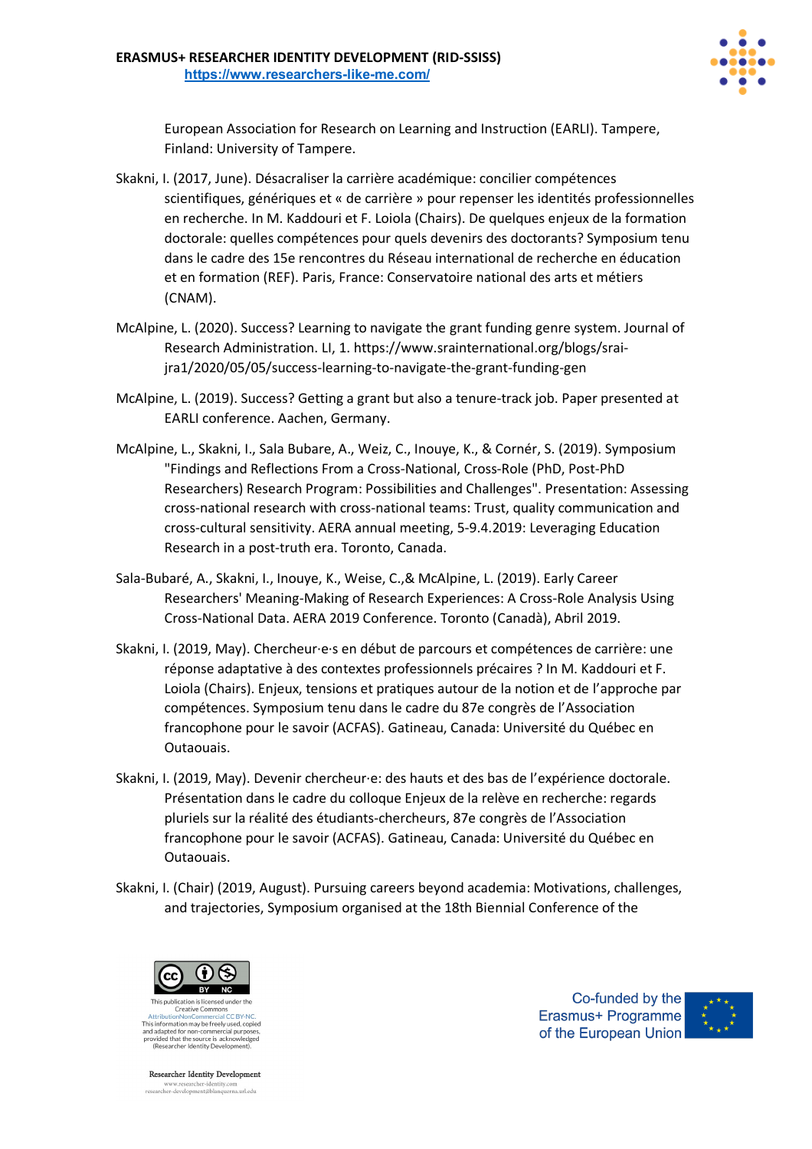

European Association for Research on Learning and Instruction (EARLI). Tampere, Finland: University of Tampere.

- Skakni, I. (2017, June). Désacraliser la carrière académique: concilier compétences scientifiques, génériques et « de carrière » pour repenser les identités professionnelles en recherche. In M. Kaddouri et F. Loiola (Chairs). De quelques enjeux de la formation doctorale: quelles compétences pour quels devenirs des doctorants? Symposium tenu dans le cadre des 15e rencontres du Réseau international de recherche en éducation et en formation (REF). Paris, France: Conservatoire national des arts et métiers (CNAM).
- McAlpine, L. (2020). Success? Learning to navigate the grant funding genre system. Journal of Research Administration. LI, 1. https://www.srainternational.org/blogs/sraijra1/2020/05/05/success-learning-to-navigate-the-grant-funding-gen
- McAlpine, L. (2019). Success? Getting a grant but also a tenure-track job. Paper presented at EARLI conference. Aachen, Germany.
- McAlpine, L., Skakni, I., Sala Bubare, A., Weiz, C., Inouye, K., & Cornér, S. (2019). Symposium "Findings and Reflections From a Cross-National, Cross-Role (PhD, Post-PhD Researchers) Research Program: Possibilities and Challenges". Presentation: Assessing cross-national research with cross-national teams: Trust, quality communication and cross-cultural sensitivity. AERA annual meeting, 5-9.4.2019: Leveraging Education Research in a post-truth era. Toronto, Canada.
- Sala-Bubaré, A., Skakni, I., Inouye, K., Weise, C.,& McAlpine, L. (2019). Early Career Researchers' Meaning-Making of Research Experiences: A Cross-Role Analysis Using Cross-National Data. AERA 2019 Conference. Toronto (Canadà), Abril 2019.
- Skakni, I. (2019, May). Chercheur·e·s en début de parcours et compétences de carrière: une réponse adaptative à des contextes professionnels précaires ? In M. Kaddouri et F. Loiola (Chairs). Enjeux, tensions et pratiques autour de la notion et de l'approche par compétences. Symposium tenu dans le cadre du 87e congrès de l'Association francophone pour le savoir (ACFAS). Gatineau, Canada: Université du Québec en Outaouais.
- Skakni, I. (2019, May). Devenir chercheur·e: des hauts et des bas de l'expérience doctorale. Présentation dans le cadre du colloque Enjeux de la relève en recherche: regards pluriels sur la réalité des étudiants-chercheurs, 87e congrès de l'Association francophone pour le savoir (ACFAS). Gatineau, Canada: Université du Québec en Outaouais.
- Skakni, I. (Chair) (2019, August). Pursuing careers beyond academia: Motivations, challenges, and trajectories, Symposium organised at the 18th Biennial Conference of the



This information may be freely used, copied and adapted for non-commercial purposes,<br>provided that the source is acknowledged<br>(Researcher Identity Development).

**Researcher Identity Development** www.researcher-identity.com<br>researcher-development@blanquerna.url.edu

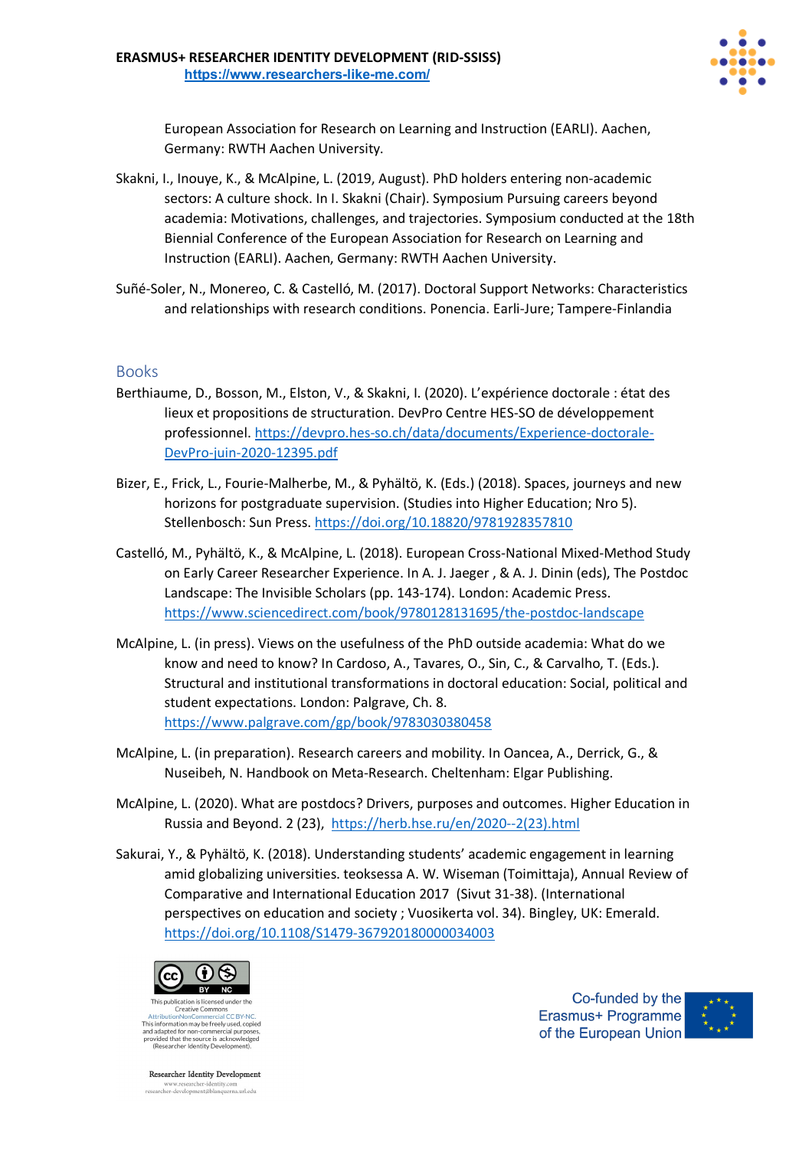

European Association for Research on Learning and Instruction (EARLI). Aachen, Germany: RWTH Aachen University.

- Skakni, I., Inouye, K., & McAlpine, L. (2019, August). PhD holders entering non-academic sectors: A culture shock. In I. Skakni (Chair). Symposium Pursuing careers beyond academia: Motivations, challenges, and trajectories. Symposium conducted at the 18th Biennial Conference of the European Association for Research on Learning and Instruction (EARLI). Aachen, Germany: RWTH Aachen University.
- Suñé-Soler, N., Monereo, C. & Castelló, M. (2017). Doctoral Support Networks: Characteristics and relationships with research conditions. Ponencia. Earli-Jure; Tampere-Finlandia

### Books

- Berthiaume, D., Bosson, M., Elston, V., & Skakni, I. (2020). L'expérience doctorale : état des lieux et propositions de structuration. DevPro Centre HES-SO de développement professionnel. https://devpro.hes-so.ch/data/documents/Experience-doctorale-DevPro-juin-2020-12395.pdf
- Bizer, E., Frick, L., Fourie-Malherbe, M., & Pyhältö, K. (Eds.) (2018). Spaces, journeys and new horizons for postgraduate supervision. (Studies into Higher Education; Nro 5). Stellenbosch: Sun Press. https://doi.org/10.18820/9781928357810
- Castelló, M., Pyhältö, K., & McAlpine, L. (2018). European Cross-National Mixed-Method Study on Early Career Researcher Experience. In A. J. Jaeger , & A. J. Dinin (eds), The Postdoc Landscape: The Invisible Scholars (pp. 143-174). London: Academic Press. https://www.sciencedirect.com/book/9780128131695/the-postdoc-landscape
- McAlpine, L. (in press). Views on the usefulness of the PhD outside academia: What do we know and need to know? In Cardoso, A., Tavares, O., Sin, C., & Carvalho, T. (Eds.). Structural and institutional transformations in doctoral education: Social, political and student expectations. London: Palgrave, Ch. 8. https://www.palgrave.com/gp/book/9783030380458
- McAlpine, L. (in preparation). Research careers and mobility. In Oancea, A., Derrick, G., & Nuseibeh, N. Handbook on Meta-Research. Cheltenham: Elgar Publishing.
- McAlpine, L. (2020). What are postdocs? Drivers, purposes and outcomes. Higher Education in Russia and Beyond. 2 (23), https://herb.hse.ru/en/2020--2(23).html
- Sakurai, Y., & Pyhältö, K. (2018). Understanding students' academic engagement in learning amid globalizing universities. teoksessa A. W. Wiseman (Toimittaja), Annual Review of Comparative and International Education 2017 (Sivut 31-38). (International perspectives on education and society ; Vuosikerta vol. 34). Bingley, UK: Emerald. https://doi.org/10.1108/S1479-367920180000034003



Creative Commons This information may be freely used, copied and adapted for non-commercial purposes,<br>provided that the source is acknowledged<br>(Researcher Identity Development).

Co-funded by the Erasmus+ Programme of the European Union

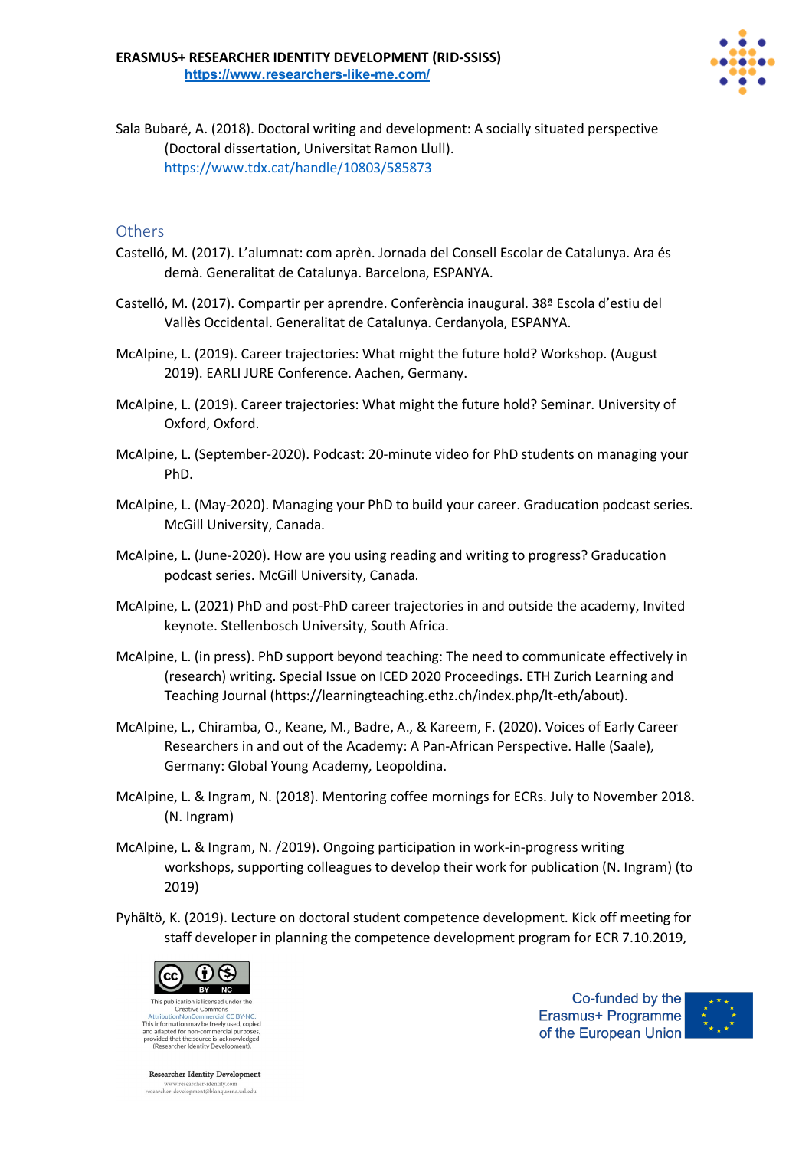

Sala Bubaré, A. (2018). Doctoral writing and development: A socially situated perspective (Doctoral dissertation, Universitat Ramon Llull). https://www.tdx.cat/handle/10803/585873

### **Others**

- Castelló, M. (2017). L'alumnat: com aprèn. Jornada del Consell Escolar de Catalunya. Ara és demà. Generalitat de Catalunya. Barcelona, ESPANYA.
- Castelló, M. (2017). Compartir per aprendre. Conferència inaugural. 38ª Escola d'estiu del Vallès Occidental. Generalitat de Catalunya. Cerdanyola, ESPANYA.
- McAlpine, L. (2019). Career trajectories: What might the future hold? Workshop. (August 2019). EARLI JURE Conference. Aachen, Germany.
- McAlpine, L. (2019). Career trajectories: What might the future hold? Seminar. University of Oxford, Oxford.
- McAlpine, L. (September-2020). Podcast: 20-minute video for PhD students on managing your PhD.
- McAlpine, L. (May-2020). Managing your PhD to build your career. Graducation podcast series. McGill University, Canada.
- McAlpine, L. (June-2020). How are you using reading and writing to progress? Graducation podcast series. McGill University, Canada.
- McAlpine, L. (2021) PhD and post-PhD career trajectories in and outside the academy, Invited keynote. Stellenbosch University, South Africa.
- McAlpine, L. (in press). PhD support beyond teaching: The need to communicate effectively in (research) writing. Special Issue on ICED 2020 Proceedings. ETH Zurich Learning and Teaching Journal (https://learningteaching.ethz.ch/index.php/lt-eth/about).
- McAlpine, L., Chiramba, O., Keane, M., Badre, A., & Kareem, F. (2020). Voices of Early Career Researchers in and out of the Academy: A Pan-African Perspective. Halle (Saale), Germany: Global Young Academy, Leopoldina.
- McAlpine, L. & Ingram, N. (2018). Mentoring coffee mornings for ECRs. July to November 2018. (N. Ingram)
- McAlpine, L. & Ingram, N. /2019). Ongoing participation in work-in-progress writing workshops, supporting colleagues to develop their work for publication (N. Ingram) (to 2019)
- Pyhältö, K. (2019). Lecture on doctoral student competence development. Kick off meeting for staff developer in planning the competence development program for ECR 7.10.2019,



This information may be freely used, copied and adapted for non-commercial purpose<br>provided that the source is acknowledge<br>(Researcher Identity Development).

**Researcher Identity Development** www.researcher-identity.com<br>researcher-development@blanquerna.url.edu

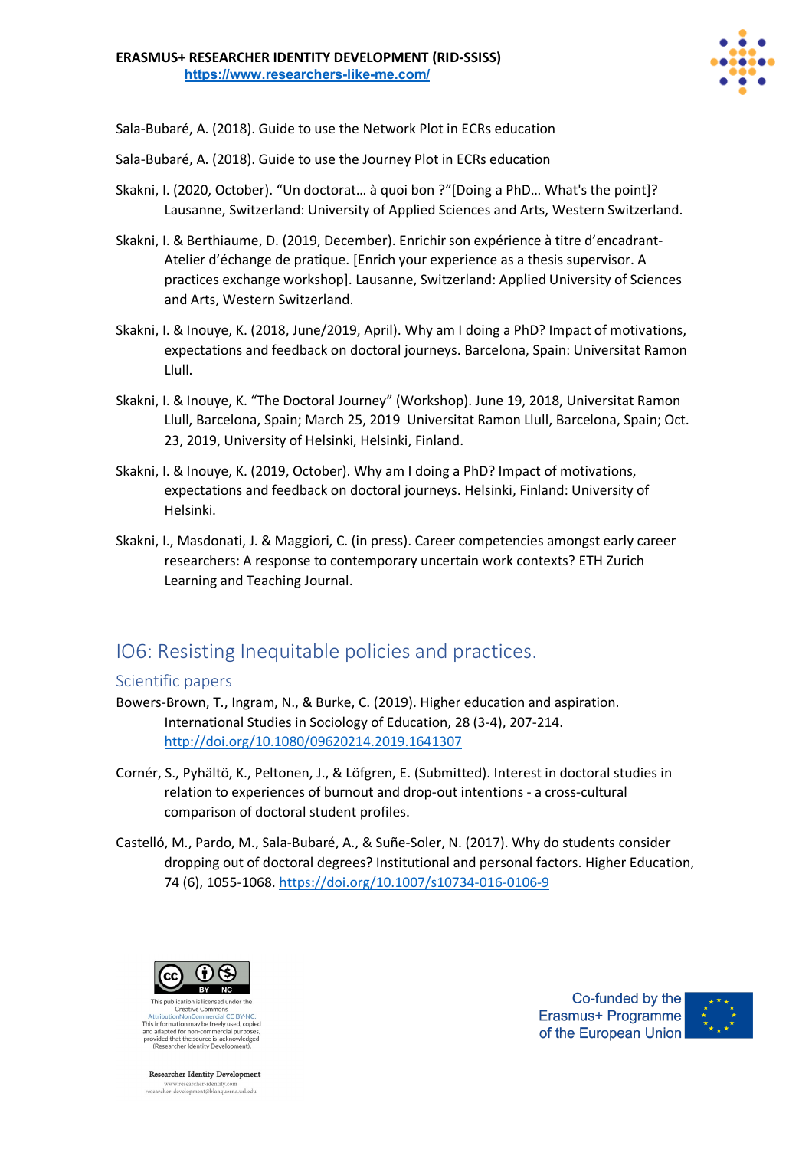

Sala-Bubaré, A. (2018). Guide to use the Network Plot in ECRs education

Sala-Bubaré, A. (2018). Guide to use the Journey Plot in ECRs education

- Skakni, I. (2020, October). "Un doctorat… à quoi bon ?"[Doing a PhD… What's the point]? Lausanne, Switzerland: University of Applied Sciences and Arts, Western Switzerland.
- Skakni, I. & Berthiaume, D. (2019, December). Enrichir son expérience à titre d'encadrant-Atelier d'échange de pratique. [Enrich your experience as a thesis supervisor. A practices exchange workshop]. Lausanne, Switzerland: Applied University of Sciences and Arts, Western Switzerland.
- Skakni, I. & Inouye, K. (2018, June/2019, April). Why am I doing a PhD? Impact of motivations, expectations and feedback on doctoral journeys. Barcelona, Spain: Universitat Ramon Llull.
- Skakni, I. & Inouye, K. "The Doctoral Journey" (Workshop). June 19, 2018, Universitat Ramon Llull, Barcelona, Spain; March 25, 2019 Universitat Ramon Llull, Barcelona, Spain; Oct. 23, 2019, University of Helsinki, Helsinki, Finland.
- Skakni, I. & Inouye, K. (2019, October). Why am I doing a PhD? Impact of motivations, expectations and feedback on doctoral journeys. Helsinki, Finland: University of Helsinki.
- Skakni, I., Masdonati, J. & Maggiori, C. (in press). Career competencies amongst early career researchers: A response to contemporary uncertain work contexts? ETH Zurich Learning and Teaching Journal.

# IO6: Resisting Inequitable policies and practices.

### Scientific papers

- Bowers-Brown, T., Ingram, N., & Burke, C. (2019). Higher education and aspiration. International Studies in Sociology of Education, 28 (3-4), 207-214. http://doi.org/10.1080/09620214.2019.1641307
- Cornér, S., Pyhältö, K., Peltonen, J., & Löfgren, E. (Submitted). Interest in doctoral studies in relation to experiences of burnout and drop-out intentions - a cross-cultural comparison of doctoral student profiles.
- Castelló, M., Pardo, M., Sala-Bubaré, A., & Suñe-Soler, N. (2017). Why do students consider dropping out of doctoral degrees? Institutional and personal factors. Higher Education, 74 (6), 1055-1068. https://doi.org/10.1007/s10734-016-0106-9



Creative Commons This information may be freely used, copied and adapted for non-commercial purpose<br>provided that the source is acknowledge<br>(Researcher Identity Development).

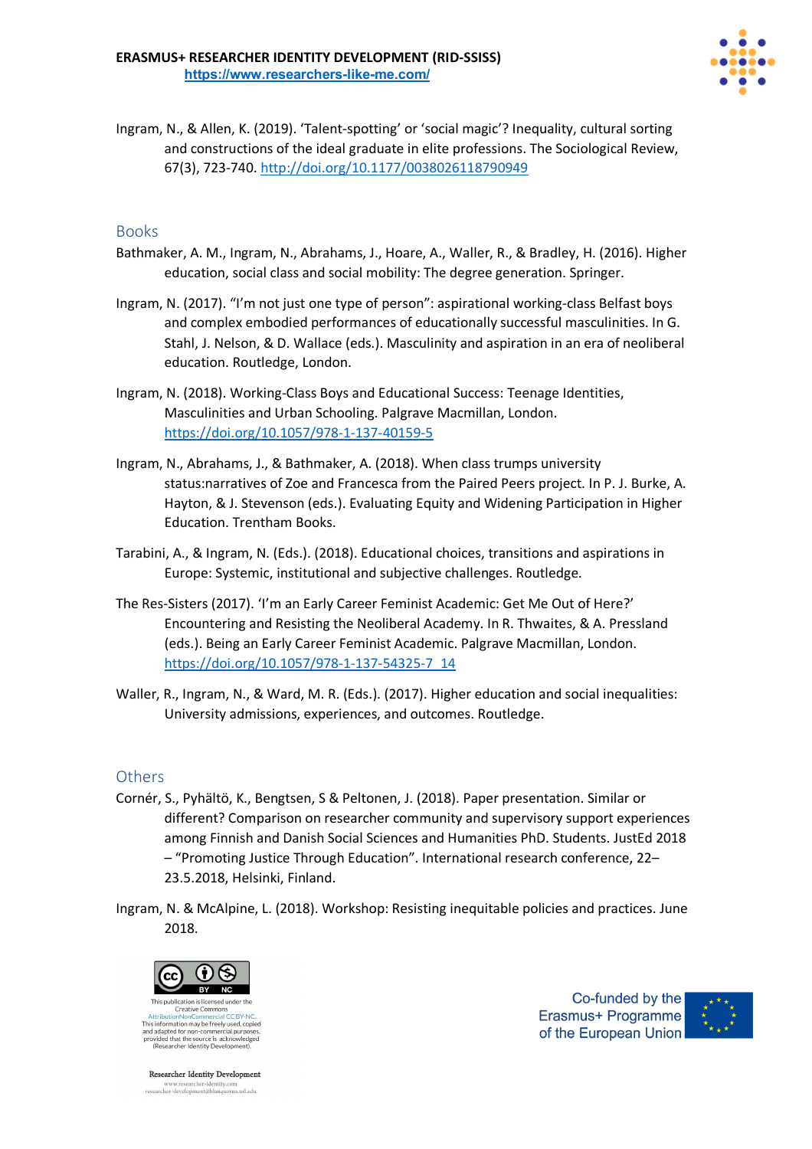

Ingram, N., & Allen, K. (2019). 'Talent-spotting' or 'social magic'? Inequality, cultural sorting and constructions of the ideal graduate in elite professions. The Sociological Review, 67(3), 723-740. http://doi.org/10.1177/0038026118790949

### Books

- Bathmaker, A. M., Ingram, N., Abrahams, J., Hoare, A., Waller, R., & Bradley, H. (2016). Higher education, social class and social mobility: The degree generation. Springer.
- Ingram, N. (2017). "I'm not just one type of person": aspirational working-class Belfast boys and complex embodied performances of educationally successful masculinities. In G. Stahl, J. Nelson, & D. Wallace (eds.). Masculinity and aspiration in an era of neoliberal education. Routledge, London.
- Ingram, N. (2018). Working-Class Boys and Educational Success: Teenage Identities, Masculinities and Urban Schooling. Palgrave Macmillan, London. https://doi.org/10.1057/978-1-137-40159-5
- Ingram, N., Abrahams, J., & Bathmaker, A. (2018). When class trumps university status:narratives of Zoe and Francesca from the Paired Peers project. In P. J. Burke, A. Hayton, & J. Stevenson (eds.). Evaluating Equity and Widening Participation in Higher Education. Trentham Books.
- Tarabini, A., & Ingram, N. (Eds.). (2018). Educational choices, transitions and aspirations in Europe: Systemic, institutional and subjective challenges. Routledge.
- The Res-Sisters (2017). 'I'm an Early Career Feminist Academic: Get Me Out of Here?' Encountering and Resisting the Neoliberal Academy. In R. Thwaites, & A. Pressland (eds.). Being an Early Career Feminist Academic. Palgrave Macmillan, London. https://doi.org/10.1057/978-1-137-54325-7\_14
- Waller, R., Ingram, N., & Ward, M. R. (Eds.). (2017). Higher education and social inequalities: University admissions, experiences, and outcomes. Routledge.

#### **Others**

- Cornér, S., Pyhältö, K., Bengtsen, S & Peltonen, J. (2018). Paper presentation. Similar or different? Comparison on researcher community and supervisory support experiences among Finnish and Danish Social Sciences and Humanities PhD. Students. JustEd 2018 – "Promoting Justice Through Education". International research conference, 22– 23.5.2018, Helsinki, Finland.
- Ingram, N. & McAlpine, L. (2018). Workshop: Resisting inequitable policies and practices. June 2018.



This information may be freely used, copied and adapted for non-commercial purpose<br>provided that the source is acknowledge<br>(Researcher Identity Development).

**Researcher Identity Development** www.researcher-identity.com<br>researcher-development@blanquerna.url.edu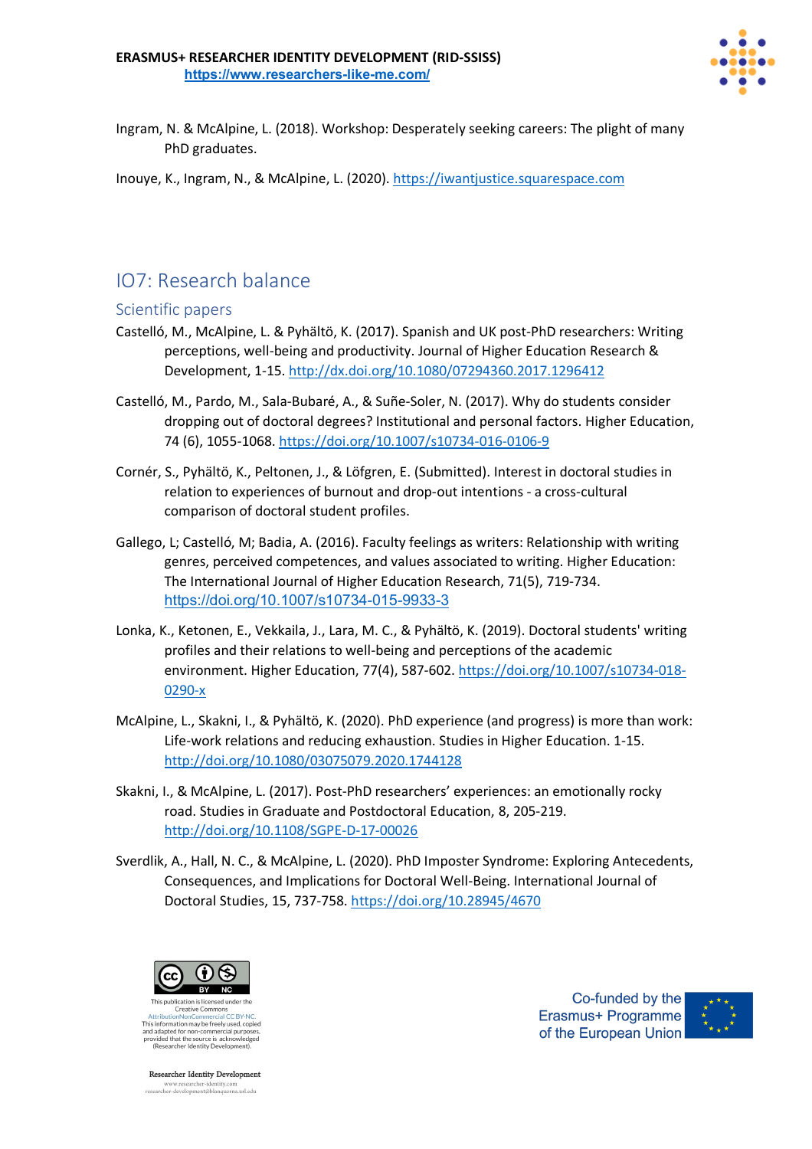

Ingram, N. & McAlpine, L. (2018). Workshop: Desperately seeking careers: The plight of many PhD graduates.

Inouye, K., Ingram, N., & McAlpine, L. (2020). https://iwantjustice.squarespace.com

### IO7: Research balance

### Scientific papers

- Castelló, M., McAlpine, L. & Pyhältö, K. (2017). Spanish and UK post-PhD researchers: Writing perceptions, well-being and productivity. Journal of Higher Education Research & Development, 1-15. http://dx.doi.org/10.1080/07294360.2017.1296412
- Castelló, M., Pardo, M., Sala-Bubaré, A., & Suñe-Soler, N. (2017). Why do students consider dropping out of doctoral degrees? Institutional and personal factors. Higher Education, 74 (6), 1055-1068. https://doi.org/10.1007/s10734-016-0106-9
- Cornér, S., Pyhältö, K., Peltonen, J., & Löfgren, E. (Submitted). Interest in doctoral studies in relation to experiences of burnout and drop-out intentions - a cross-cultural comparison of doctoral student profiles.
- Gallego, L; Castelló, M; Badia, A. (2016). Faculty feelings as writers: Relationship with writing genres, perceived competences, and values associated to writing. Higher Education: The International Journal of Higher Education Research, 71(5), 719-734. https://doi.org/10.1007/s10734-015-9933-3
- Lonka, K., Ketonen, E., Vekkaila, J., Lara, M. C., & Pyhältö, K. (2019). Doctoral students' writing profiles and their relations to well-being and perceptions of the academic environment. Higher Education, 77(4), 587-602. https://doi.org/10.1007/s10734-018- 0290-x
- McAlpine, L., Skakni, I., & Pyhältö, K. (2020). PhD experience (and progress) is more than work: Life-work relations and reducing exhaustion. Studies in Higher Education. 1-15. http://doi.org/10.1080/03075079.2020.1744128
- Skakni, I., & McAlpine, L. (2017). Post-PhD researchers' experiences: an emotionally rocky road. Studies in Graduate and Postdoctoral Education, 8, 205-219. http://doi.org/10.1108/SGPE-D-17-00026
- Sverdlik, A., Hall, N. C., & McAlpine, L. (2020). PhD Imposter Syndrome: Exploring Antecedents, Consequences, and Implications for Doctoral Well-Being. International Journal of Doctoral Studies, 15, 737-758. https://doi.org/10.28945/4670



This information may be freely used, copied and adapted for non-commercial purpose<br>provided that the source is acknowledge<br>(Researcher Identity Development).

**Researcher Identity Development** www.researcher-identity.com<br>researcher-development@blanquerna.url.edu

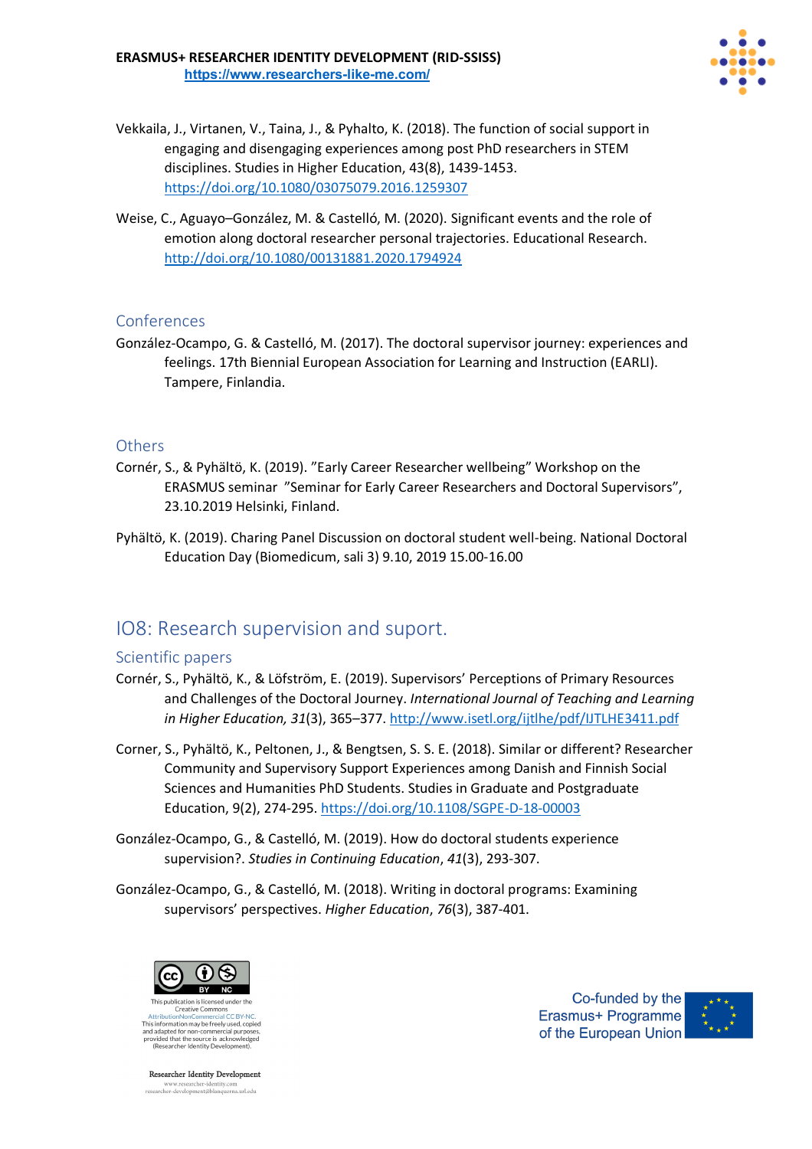

- Vekkaila, J., Virtanen, V., Taina, J., & Pyhalto, K. (2018). The function of social support in engaging and disengaging experiences among post PhD researchers in STEM disciplines. Studies in Higher Education, 43(8), 1439-1453. https://doi.org/10.1080/03075079.2016.1259307
- Weise, C., Aguayo–González, M. & Castelló, M. (2020). Significant events and the role of emotion along doctoral researcher personal trajectories. Educational Research. http://doi.org/10.1080/00131881.2020.1794924

González-Ocampo, G. & Castelló, M. (2017). The doctoral supervisor journey: experiences and feelings. 17th Biennial European Association for Learning and Instruction (EARLI). Tampere, Finlandia.

### **Others**

- Cornér, S., & Pyhältö, K. (2019). "Early Career Researcher wellbeing" Workshop on the ERASMUS seminar "Seminar for Early Career Researchers and Doctoral Supervisors", 23.10.2019 Helsinki, Finland.
- Pyhältö, K. (2019). Charing Panel Discussion on doctoral student well-being. National Doctoral Education Day (Biomedicum, sali 3) 9.10, 2019 15.00-16.00

### IO8: Research supervision and suport.

### Scientific papers

- Cornér, S., Pyhältö, K., & Löfström, E. (2019). Supervisors' Perceptions of Primary Resources and Challenges of the Doctoral Journey. *International Journal of Teaching and Learning in Higher Education, 31*(3), 365–377. http://www.isetl.org/ijtlhe/pdf/IJTLHE3411.pdf
- Corner, S., Pyhältö, K., Peltonen, J., & Bengtsen, S. S. E. (2018). Similar or different? Researcher Community and Supervisory Support Experiences among Danish and Finnish Social Sciences and Humanities PhD Students. Studies in Graduate and Postgraduate Education, 9(2), 274-295. https://doi.org/10.1108/SGPE-D-18-00003
- González-Ocampo, G., & Castelló, M. (2019). How do doctoral students experience supervision?. *Studies in Continuing Education*, *41*(3), 293-307.
- González-Ocampo, G., & Castelló, M. (2018). Writing in doctoral programs: Examining supervisors' perspectives. *Higher Education*, *76*(3), 387-401.



Creative Commons This information may be freely used, copied and adapted for non-commercial purpose<br>provided that the source is acknowledge<br>(Researcher Identity Development).

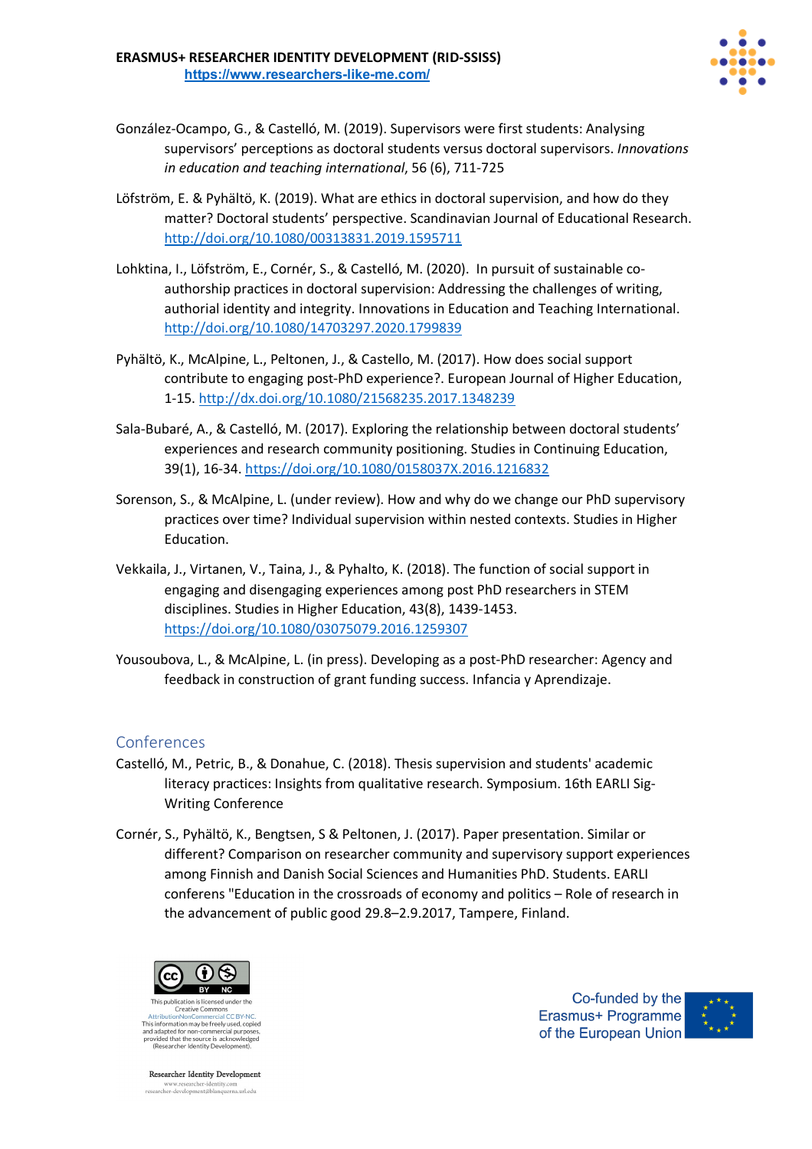

- González-Ocampo, G., & Castelló, M. (2019). Supervisors were first students: Analysing supervisors' perceptions as doctoral students versus doctoral supervisors. *Innovations in education and teaching international*, 56 (6), 711-725
- Löfström, E. & Pyhältö, K. (2019). What are ethics in doctoral supervision, and how do they matter? Doctoral students' perspective. Scandinavian Journal of Educational Research. http://doi.org/10.1080/00313831.2019.1595711
- Lohktina, I., Löfström, E., Cornér, S., & Castelló, M. (2020). In pursuit of sustainable coauthorship practices in doctoral supervision: Addressing the challenges of writing, authorial identity and integrity. Innovations in Education and Teaching International. http://doi.org/10.1080/14703297.2020.1799839
- Pyhältö, K., McAlpine, L., Peltonen, J., & Castello, M. (2017). How does social support contribute to engaging post-PhD experience?. European Journal of Higher Education, 1-15. http://dx.doi.org/10.1080/21568235.2017.1348239
- Sala-Bubaré, A., & Castelló, M. (2017). Exploring the relationship between doctoral students' experiences and research community positioning. Studies in Continuing Education, 39(1), 16-34. https://doi.org/10.1080/0158037X.2016.1216832
- Sorenson, S., & McAlpine, L. (under review). How and why do we change our PhD supervisory practices over time? Individual supervision within nested contexts. Studies in Higher Education.
- Vekkaila, J., Virtanen, V., Taina, J., & Pyhalto, K. (2018). The function of social support in engaging and disengaging experiences among post PhD researchers in STEM disciplines. Studies in Higher Education, 43(8), 1439-1453. https://doi.org/10.1080/03075079.2016.1259307
- Yousoubova, L., & McAlpine, L. (in press). Developing as a post-PhD researcher: Agency and feedback in construction of grant funding success. Infancia y Aprendizaje.

- Castelló, M., Petric, B., & Donahue, C. (2018). Thesis supervision and students' academic literacy practices: Insights from qualitative research. Symposium. 16th EARLI Sig-Writing Conference
- Cornér, S., Pyhältö, K., Bengtsen, S & Peltonen, J. (2017). Paper presentation. Similar or different? Comparison on researcher community and supervisory support experiences among Finnish and Danish Social Sciences and Humanities PhD. Students. EARLI conferens "Education in the crossroads of economy and politics – Role of research in the advancement of public good 29.8–2.9.2017, Tampere, Finland.



Creative Commons This information may be freely used, copied and adapted for non-commercial purpose<br>provided that the source is acknowledge<br>(Researcher Identity Development).

**Researcher Identity Development** www.researcher-identity.com<br>researcher-development@blanquerna.url.edu

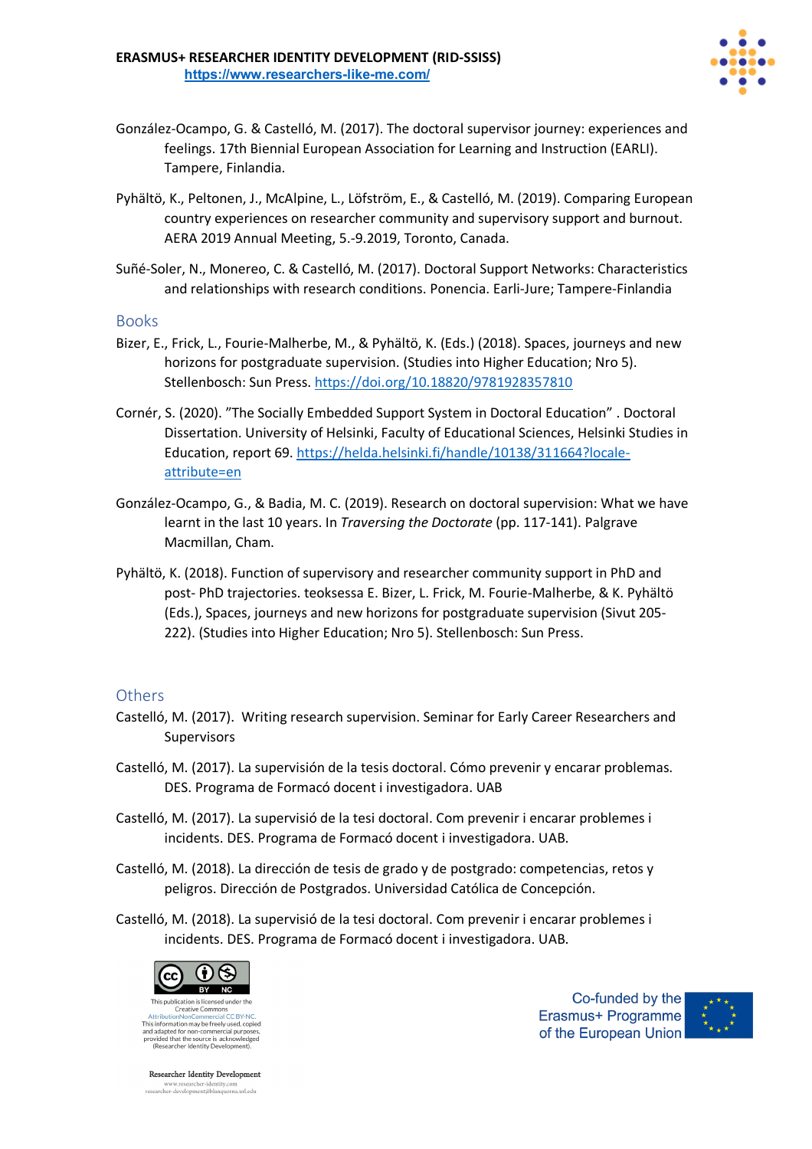

- González-Ocampo, G. & Castelló, M. (2017). The doctoral supervisor journey: experiences and feelings. 17th Biennial European Association for Learning and Instruction (EARLI). Tampere, Finlandia.
- Pyhältö, K., Peltonen, J., McAlpine, L., Löfström, E., & Castelló, M. (2019). Comparing European country experiences on researcher community and supervisory support and burnout. AERA 2019 Annual Meeting, 5.-9.2019, Toronto, Canada.
- Suñé-Soler, N., Monereo, C. & Castelló, M. (2017). Doctoral Support Networks: Characteristics and relationships with research conditions. Ponencia. Earli-Jure; Tampere-Finlandia

#### Books

- Bizer, E., Frick, L., Fourie-Malherbe, M., & Pyhältö, K. (Eds.) (2018). Spaces, journeys and new horizons for postgraduate supervision. (Studies into Higher Education; Nro 5). Stellenbosch: Sun Press. https://doi.org/10.18820/9781928357810
- Cornér, S. (2020). "The Socially Embedded Support System in Doctoral Education" . Doctoral Dissertation. University of Helsinki, Faculty of Educational Sciences, Helsinki Studies in Education, report 69. https://helda.helsinki.fi/handle/10138/311664?localeattribute=en
- González-Ocampo, G., & Badia, M. C. (2019). Research on doctoral supervision: What we have learnt in the last 10 years. In *Traversing the Doctorate* (pp. 117-141). Palgrave Macmillan, Cham.
- Pyhältö, K. (2018). Function of supervisory and researcher community support in PhD and post- PhD trajectories. teoksessa E. Bizer, L. Frick, M. Fourie-Malherbe, & K. Pyhältö (Eds.), Spaces, journeys and new horizons for postgraduate supervision (Sivut 205- 222). (Studies into Higher Education; Nro 5). Stellenbosch: Sun Press.

#### **Others**

- Castelló, M. (2017). Writing research supervision. Seminar for Early Career Researchers and Supervisors
- Castelló, M. (2017). La supervisión de la tesis doctoral. Cómo prevenir y encarar problemas. DES. Programa de Formacó docent i investigadora. UAB
- Castelló, M. (2017). La supervisió de la tesi doctoral. Com prevenir i encarar problemes i incidents. DES. Programa de Formacó docent i investigadora. UAB.
- Castelló, M. (2018). La dirección de tesis de grado y de postgrado: competencias, retos y peligros. Dirección de Postgrados. Universidad Católica de Concepción.
- Castelló, M. (2018). La supervisió de la tesi doctoral. Com prevenir i encarar problemes i incidents. DES. Programa de Formacó docent i investigadora. UAB.



**Researcher Identity Development** www.researcher-identity.com<br>researcher-development@blanquerna.url.edu

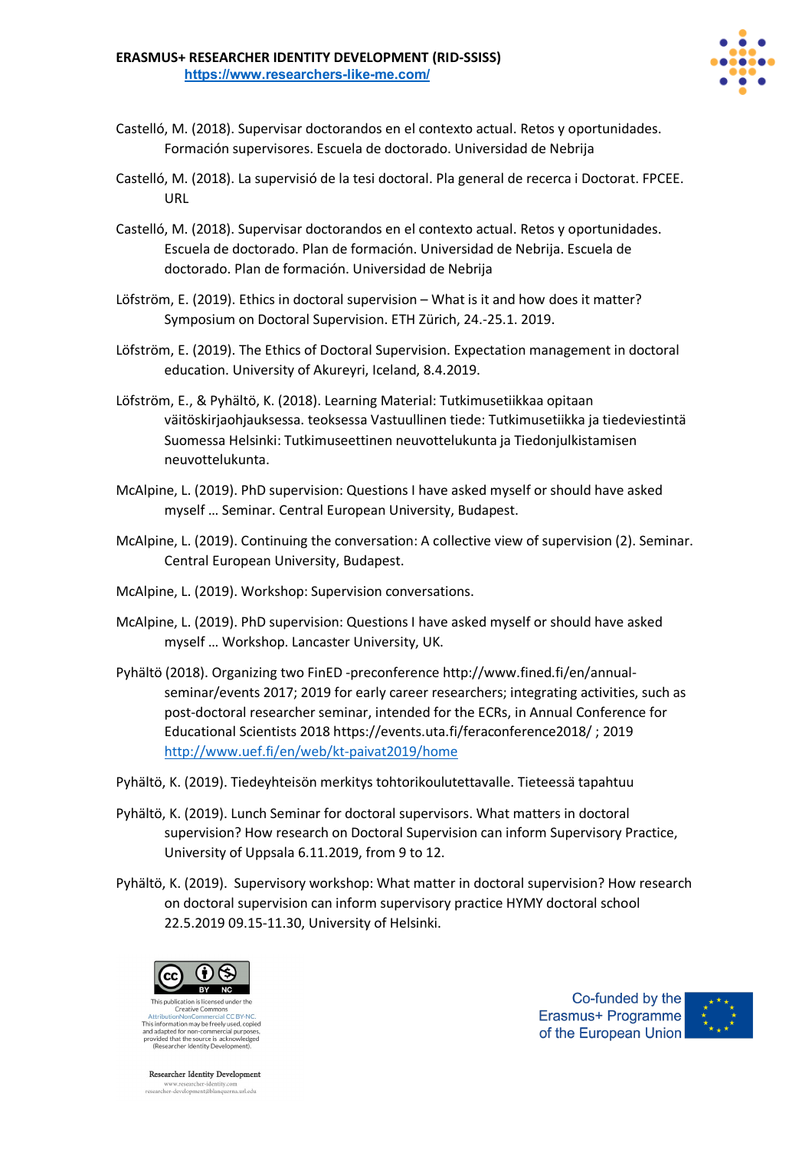

- Castelló, M. (2018). Supervisar doctorandos en el contexto actual. Retos y oportunidades. Formación supervisores. Escuela de doctorado. Universidad de Nebrija
- Castelló, M. (2018). La supervisió de la tesi doctoral. Pla general de recerca i Doctorat. FPCEE. URL
- Castelló, M. (2018). Supervisar doctorandos en el contexto actual. Retos y oportunidades. Escuela de doctorado. Plan de formación. Universidad de Nebrija. Escuela de doctorado. Plan de formación. Universidad de Nebrija
- Löfström, E. (2019). Ethics in doctoral supervision What is it and how does it matter? Symposium on Doctoral Supervision. ETH Zürich, 24.-25.1. 2019.
- Löfström, E. (2019). The Ethics of Doctoral Supervision. Expectation management in doctoral education. University of Akureyri, Iceland, 8.4.2019.
- Löfström, E., & Pyhältö, K. (2018). Learning Material: Tutkimusetiikkaa opitaan väitöskirjaohjauksessa. teoksessa Vastuullinen tiede: Tutkimusetiikka ja tiedeviestintä Suomessa Helsinki: Tutkimuseettinen neuvottelukunta ja Tiedonjulkistamisen neuvottelukunta.
- McAlpine, L. (2019). PhD supervision: Questions I have asked myself or should have asked myself … Seminar. Central European University, Budapest.
- McAlpine, L. (2019). Continuing the conversation: A collective view of supervision (2). Seminar. Central European University, Budapest.
- McAlpine, L. (2019). Workshop: Supervision conversations.
- McAlpine, L. (2019). PhD supervision: Questions I have asked myself or should have asked myself … Workshop. Lancaster University, UK.
- Pyhältö (2018). Organizing two FinED -preconference http://www.fined.fi/en/annualseminar/events 2017; 2019 for early career researchers; integrating activities, such as post-doctoral researcher seminar, intended for the ECRs, in Annual Conference for Educational Scientists 2018 https://events.uta.fi/feraconference2018/ ; 2019 http://www.uef.fi/en/web/kt-paivat2019/home
- Pyhältö, K. (2019). Tiedeyhteisön merkitys tohtorikoulutettavalle. Tieteessä tapahtuu
- Pyhältö, K. (2019). Lunch Seminar for doctoral supervisors. What matters in doctoral supervision? How research on Doctoral Supervision can inform Supervisory Practice, University of Uppsala 6.11.2019, from 9 to 12.
- Pyhältö, K. (2019). Supervisory workshop: What matter in doctoral supervision? How research on doctoral supervision can inform supervisory practice HYMY doctoral school 22.5.2019 09.15-11.30, University of Helsinki.



This information may be freely used, copied and adapted for non-commercial purposes,<br>provided that the source is acknowledged<br>(Researcher Identity Development).

**Researcher Identity Development** www.researcher-identity.com<br>researcher-development@blanquerna.url.edu

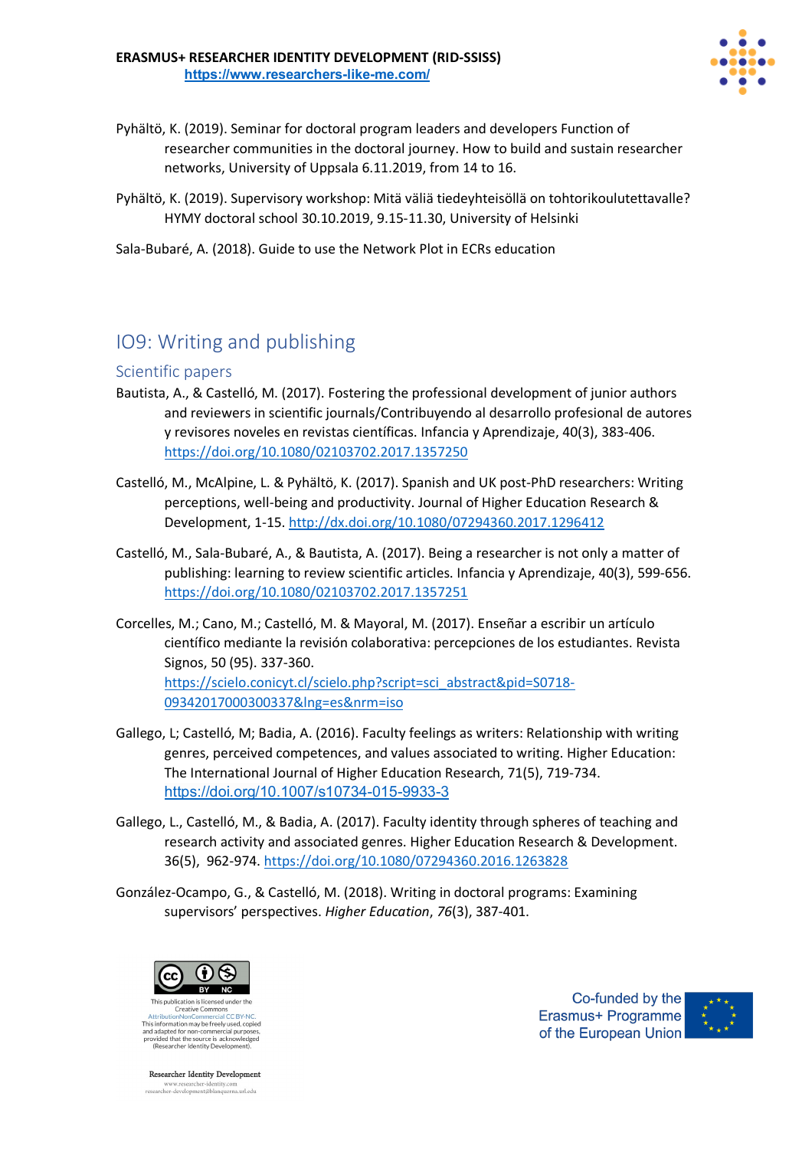

- Pyhältö, K. (2019). Seminar for doctoral program leaders and developers Function of researcher communities in the doctoral journey. How to build and sustain researcher networks, University of Uppsala 6.11.2019, from 14 to 16.
- Pyhältö, K. (2019). Supervisory workshop: Mitä väliä tiedeyhteisöllä on tohtorikoulutettavalle? HYMY doctoral school 30.10.2019, 9.15-11.30, University of Helsinki

Sala-Bubaré, A. (2018). Guide to use the Network Plot in ECRs education

# IO9: Writing and publishing

### Scientific papers

- Bautista, A., & Castelló, M. (2017). Fostering the professional development of junior authors and reviewers in scientific journals/Contribuyendo al desarrollo profesional de autores y revisores noveles en revistas científicas. Infancia y Aprendizaje, 40(3), 383-406. https://doi.org/10.1080/02103702.2017.1357250
- Castelló, M., McAlpine, L. & Pyhältö, K. (2017). Spanish and UK post-PhD researchers: Writing perceptions, well-being and productivity. Journal of Higher Education Research & Development, 1-15. http://dx.doi.org/10.1080/07294360.2017.1296412
- Castelló, M., Sala-Bubaré, A., & Bautista, A. (2017). Being a researcher is not only a matter of publishing: learning to review scientific articles. Infancia y Aprendizaje, 40(3), 599-656. https://doi.org/10.1080/02103702.2017.1357251
- Corcelles, M.; Cano, M.; Castelló, M. & Mayoral, M. (2017). Enseñar a escribir un artículo científico mediante la revisión colaborativa: percepciones de los estudiantes. Revista Signos, 50 (95). 337-360. https://scielo.conicyt.cl/scielo.php?script=sci\_abstract&pid=S0718- 09342017000300337&lng=es&nrm=iso
- Gallego, L; Castelló, M; Badia, A. (2016). Faculty feelings as writers: Relationship with writing genres, perceived competences, and values associated to writing. Higher Education: The International Journal of Higher Education Research, 71(5), 719-734. https://doi.org/10.1007/s10734-015-9933-3
- Gallego, L., Castelló, M., & Badia, A. (2017). Faculty identity through spheres of teaching and research activity and associated genres. Higher Education Research & Development. 36(5), 962-974. https://doi.org/10.1080/07294360.2016.1263828
- González-Ocampo, G., & Castelló, M. (2018). Writing in doctoral programs: Examining supervisors' perspectives. *Higher Education*, *76*(3), 387-401.



Creative Commons This information may be freely used, copied and adapted for non-commercial purpose<br>provided that the source is acknowledge<br>(Researcher Identity Development).

**Researcher Identity Development** www.researcher-identity.com<br>researcher-development@blanquerna.url.edu

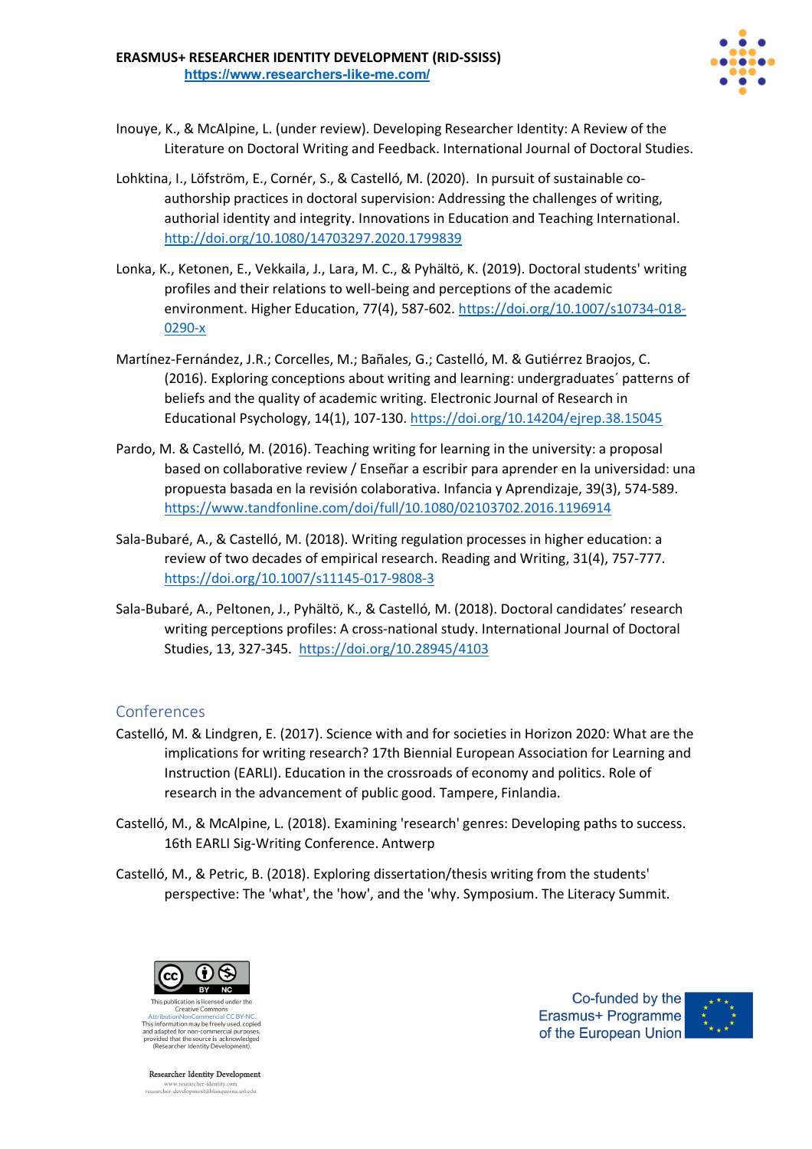

- Inouye, K., & McAlpine, L. (under review). Developing Researcher Identity: A Review of the Literature on Doctoral Writing and Feedback. International Journal of Doctoral Studies.
- Lohktina, I., Löfström, E., Cornér, S., & Castelló, M. (2020). In pursuit of sustainable coauthorship practices in doctoral supervision: Addressing the challenges of writing, authorial identity and integrity. Innovations in Education and Teaching International. http://doi.org/10.1080/14703297.2020.1799839
- Lonka, K., Ketonen, E., Vekkaila, J., Lara, M. C., & Pyhältö, K. (2019). Doctoral students' writing profiles and their relations to well-being and perceptions of the academic environment. Higher Education, 77(4), 587-602. https://doi.org/10.1007/s10734-018- 0290-x
- Martínez-Fernández, J.R.; Corcelles, M.; Bañales, G.; Castelló, M. & Gutiérrez Braojos, C. (2016). Exploring conceptions about writing and learning: undergraduates´ patterns of beliefs and the quality of academic writing. Electronic Journal of Research in Educational Psychology, 14(1), 107-130. https://doi.org/10.14204/ejrep.38.15045
- Pardo, M. & Castelló, M. (2016). Teaching writing for learning in the university: a proposal based on collaborative review / Enseñar a escribir para aprender en la universidad: una propuesta basada en la revisión colaborativa. Infancia y Aprendizaje, 39(3), 574-589. https://www.tandfonline.com/doi/full/10.1080/02103702.2016.1196914
- Sala-Bubaré, A., & Castelló, M. (2018). Writing regulation processes in higher education: a review of two decades of empirical research. Reading and Writing, 31(4), 757-777. https://doi.org/10.1007/s11145-017-9808-3
- Sala-Bubaré, A., Peltonen, J., Pyhältö, K., & Castelló, M. (2018). Doctoral candidates' research writing perceptions profiles: A cross-national study. International Journal of Doctoral Studies, 13, 327-345. https://doi.org/10.28945/4103

- Castelló, M. & Lindgren, E. (2017). Science with and for societies in Horizon 2020: What are the implications for writing research? 17th Biennial European Association for Learning and Instruction (EARLI). Education in the crossroads of economy and politics. Role of research in the advancement of public good. Tampere, Finlandia.
- Castelló, M., & McAlpine, L. (2018). Examining 'research' genres: Developing paths to success. 16th EARLI Sig-Writing Conference. Antwerp
- Castelló, M., & Petric, B. (2018). Exploring dissertation/thesis writing from the students' perspective: The 'what', the 'how', and the 'why. Symposium. The Literacy Summit.



This information may be freely used, copied and adapted for non-commercial purpose<br>provided that the source is acknowledge<br>(Researcher Identity Development).

**Researcher Identity Development** www.researcher-identity.com<br>researcher-development@blanquerna.url.edu

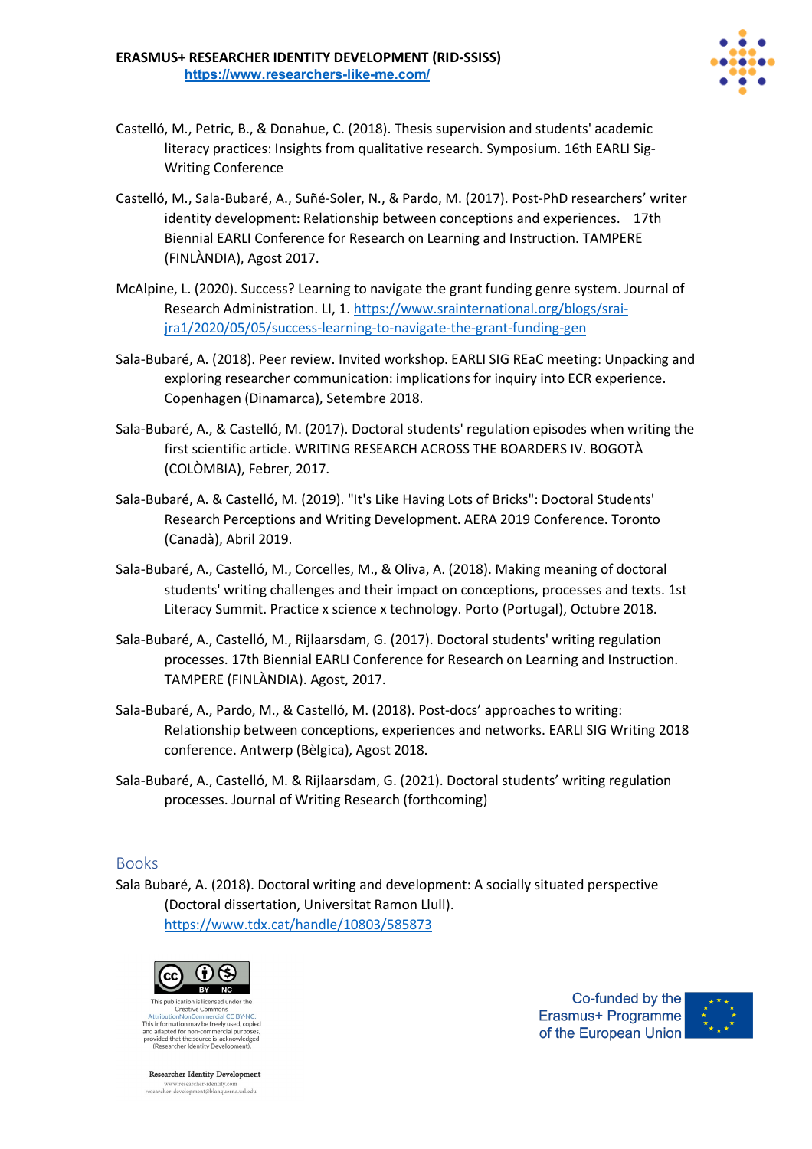

- Castelló, M., Petric, B., & Donahue, C. (2018). Thesis supervision and students' academic literacy practices: Insights from qualitative research. Symposium. 16th EARLI Sig-Writing Conference
- Castelló, M., Sala-Bubaré, A., Suñé-Soler, N., & Pardo, M. (2017). Post-PhD researchers' writer identity development: Relationship between conceptions and experiences. 17th Biennial EARLI Conference for Research on Learning and Instruction. TAMPERE (FINLÀNDIA), Agost 2017.
- McAlpine, L. (2020). Success? Learning to navigate the grant funding genre system. Journal of Research Administration. LI, 1. https://www.srainternational.org/blogs/sraijra1/2020/05/05/success-learning-to-navigate-the-grant-funding-gen
- Sala-Bubaré, A. (2018). Peer review. Invited workshop. EARLI SIG REaC meeting: Unpacking and exploring researcher communication: implications for inquiry into ECR experience. Copenhagen (Dinamarca), Setembre 2018.
- Sala-Bubaré, A., & Castelló, M. (2017). Doctoral students' regulation episodes when writing the first scientific article. WRITING RESEARCH ACROSS THE BOARDERS IV. BOGOTÀ (COLÒMBIA), Febrer, 2017.
- Sala-Bubaré, A. & Castelló, M. (2019). "It's Like Having Lots of Bricks": Doctoral Students' Research Perceptions and Writing Development. AERA 2019 Conference. Toronto (Canadà), Abril 2019.
- Sala-Bubaré, A., Castelló, M., Corcelles, M., & Oliva, A. (2018). Making meaning of doctoral students' writing challenges and their impact on conceptions, processes and texts. 1st Literacy Summit. Practice x science x technology. Porto (Portugal), Octubre 2018.
- Sala-Bubaré, A., Castelló, M., Rijlaarsdam, G. (2017). Doctoral students' writing regulation processes. 17th Biennial EARLI Conference for Research on Learning and Instruction. TAMPERE (FINLÀNDIA). Agost, 2017.
- Sala-Bubaré, A., Pardo, M., & Castelló, M. (2018). Post-docs' approaches to writing: Relationship between conceptions, experiences and networks. EARLI SIG Writing 2018 conference. Antwerp (Bèlgica), Agost 2018.
- Sala-Bubaré, A., Castelló, M. & Rijlaarsdam, G. (2021). Doctoral students' writing regulation processes. Journal of Writing Research (forthcoming)

### Books

Sala Bubaré, A. (2018). Doctoral writing and development: A socially situated perspective (Doctoral dissertation, Universitat Ramon Llull). https://www.tdx.cat/handle/10803/585873



Creative Commons This information may be freely used, copied and adapted for non-commercial purpose<br>provided that the source is acknowledge<br>(Researcher Identity Development).

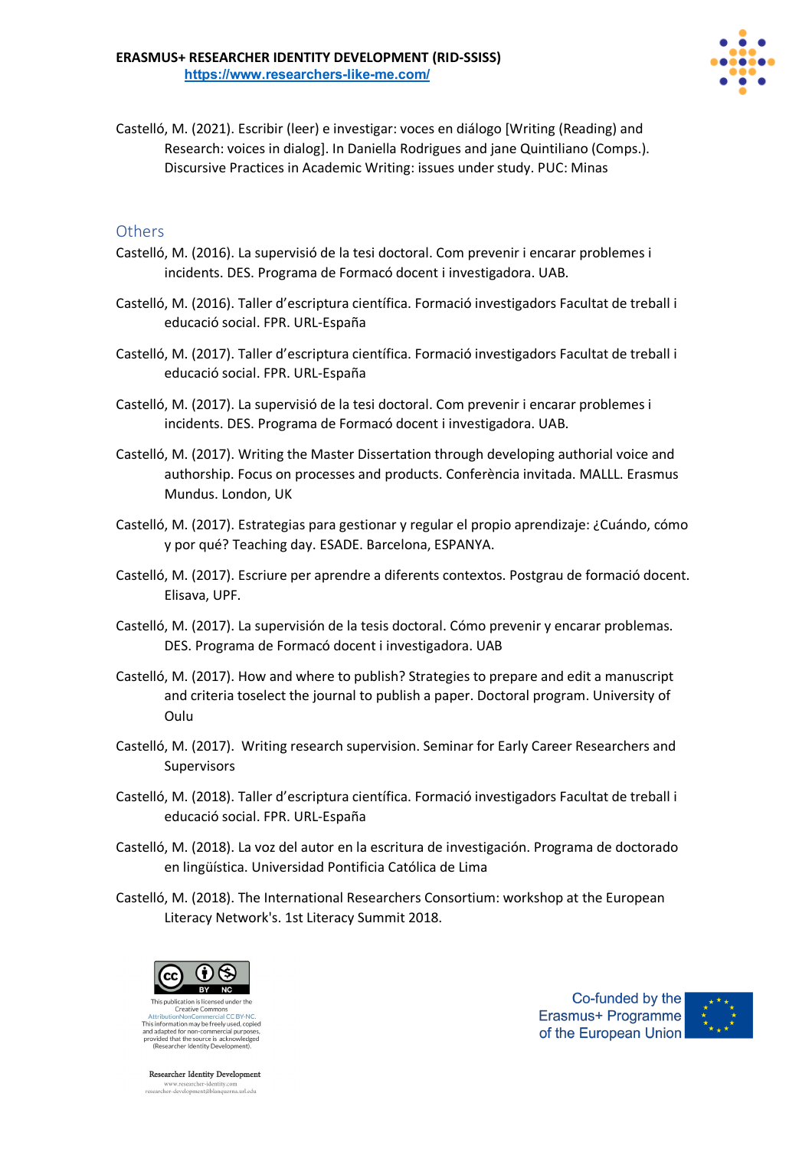

Castelló, M. (2021). Escribir (leer) e investigar: voces en diálogo [Writing (Reading) and Research: voices in dialog]. In Daniella Rodrigues and jane Quintiliano (Comps.). Discursive Practices in Academic Writing: issues under study. PUC: Minas

### **Others**

- Castelló, M. (2016). La supervisió de la tesi doctoral. Com prevenir i encarar problemes i incidents. DES. Programa de Formacó docent i investigadora. UAB.
- Castelló, M. (2016). Taller d'escriptura científica. Formació investigadors Facultat de treball i educació social. FPR. URL-España
- Castelló, M. (2017). Taller d'escriptura científica. Formació investigadors Facultat de treball i educació social. FPR. URL-España
- Castelló, M. (2017). La supervisió de la tesi doctoral. Com prevenir i encarar problemes i incidents. DES. Programa de Formacó docent i investigadora. UAB.
- Castelló, M. (2017). Writing the Master Dissertation through developing authorial voice and authorship. Focus on processes and products. Conferència invitada. MALLL. Erasmus Mundus. London, UK
- Castelló, M. (2017). Estrategias para gestionar y regular el propio aprendizaje: ¿Cuándo, cómo y por qué? Teaching day. ESADE. Barcelona, ESPANYA.
- Castelló, M. (2017). Escriure per aprendre a diferents contextos. Postgrau de formació docent. Elisava, UPF.
- Castelló, M. (2017). La supervisión de la tesis doctoral. Cómo prevenir y encarar problemas. DES. Programa de Formacó docent i investigadora. UAB
- Castelló, M. (2017). How and where to publish? Strategies to prepare and edit a manuscript and criteria toselect the journal to publish a paper. Doctoral program. University of Oulu
- Castelló, M. (2017). Writing research supervision. Seminar for Early Career Researchers and Supervisors
- Castelló, M. (2018). Taller d'escriptura científica. Formació investigadors Facultat de treball i educació social. FPR. URL-España
- Castelló, M. (2018). La voz del autor en la escritura de investigación. Programa de doctorado en lingüística. Universidad Pontificia Católica de Lima
- Castelló, M. (2018). The International Researchers Consortium: workshop at the European Literacy Network's. 1st Literacy Summit 2018.



And adapted for non-commercial purposes,<br>provided that the source is acknowledged<br>(Researcher Identity Development).



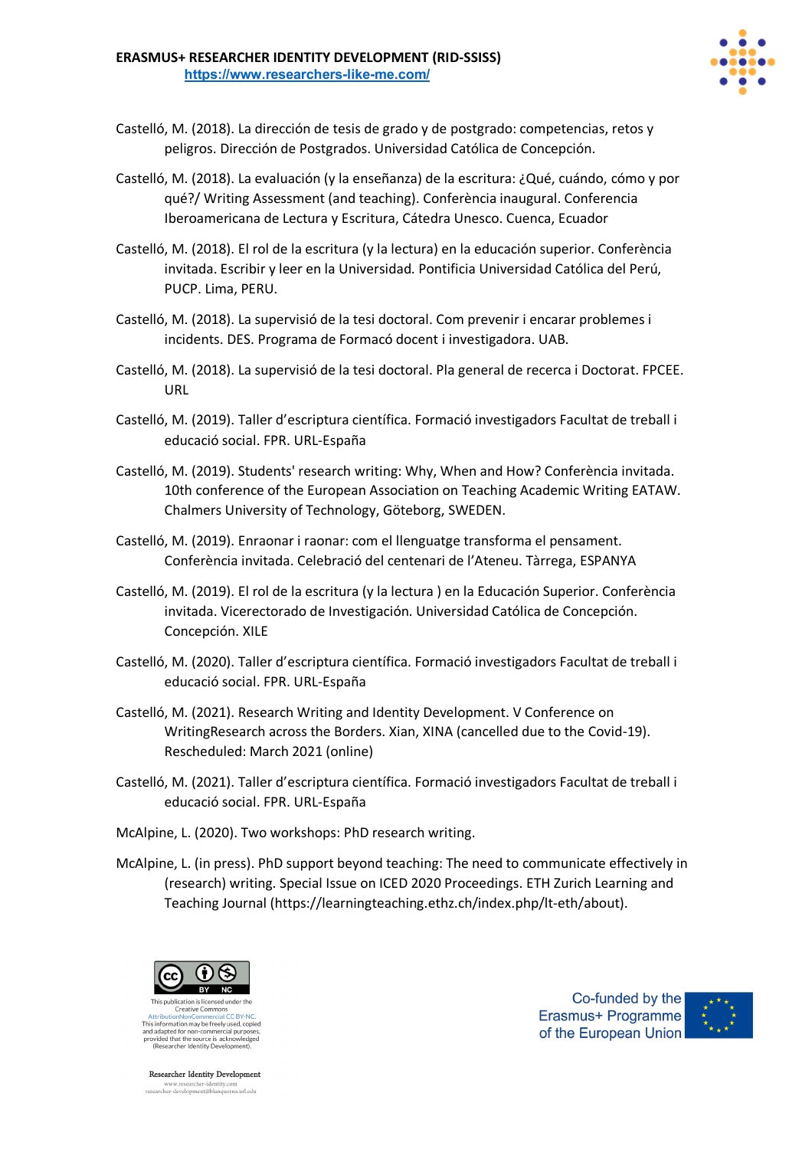

- Castelló, M. (2018). La dirección de tesis de grado y de postgrado: competencias, retos y peligros. Dirección de Postgrados. Universidad Católica de Concepción.
- Castelló, M. (2018). La evaluación (y la enseñanza) de la escritura: ¿Qué, cuándo, cómo y por qué?/ Writing Assessment (and teaching). Conferència inaugural. Conferencia Iberoamericana de Lectura y Escritura, Cátedra Unesco. Cuenca, Ecuador
- Castelló, M. (2018). El rol de la escritura (y la lectura) en la educación superior. Conferència invitada. Escribir y leer en la Universidad. Pontificia Universidad Católica del Perú, PUCP. Lima, PERU.
- Castelló, M. (2018). La supervisió de la tesi doctoral. Com prevenir i encarar problemes i incidents. DES. Programa de Formacó docent i investigadora. UAB.
- Castelló, M. (2018). La supervisió de la tesi doctoral. Pla general de recerca i Doctorat. FPCEE. URL
- Castelló, M. (2019). Taller d'escriptura científica. Formació investigadors Facultat de treball i educació social. FPR. URL-España
- Castelló, M. (2019). Students' research writing: Why, When and How? Conferència invitada. 10th conference of the European Association on Teaching Academic Writing EATAW. Chalmers University of Technology, Göteborg, SWEDEN.
- Castelló, M. (2019). Enraonar i raonar: com el llenguatge transforma el pensament. Conferència invitada. Celebració del centenari de l'Ateneu. Tàrrega, ESPANYA
- Castelló, M. (2019). El rol de la escritura (y la lectura ) en la Educación Superior. Conferència invitada. Vicerectorado de Investigación. Universidad Católica de Concepción. Concepción. XILE
- Castelló, M. (2020). Taller d'escriptura científica. Formació investigadors Facultat de treball i educació social. FPR. URL-España
- Castelló, M. (2021). Research Writing and Identity Development. V Conference on WritingResearch across the Borders. Xian, XINA (cancelled due to the Covid-19). Rescheduled: March 2021 (online)
- Castelló, M. (2021). Taller d'escriptura científica. Formació investigadors Facultat de treball i educació social. FPR. URL-España
- McAlpine, L. (2020). Two workshops: PhD research writing.
- McAlpine, L. (in press). PhD support beyond teaching: The need to communicate effectively in (research) writing. Special Issue on ICED 2020 Proceedings. ETH Zurich Learning and Teaching Journal (https://learningteaching.ethz.ch/index.php/lt-eth/about).



This information may be freely used, copied And adapted for non-commercial purpose<br>provided that the source is acknowledge<br>(Researcher Identity Development).

**Researcher Identity Development** www.researcher-identity.com<br>researcher-development@blanquerna.url.edu

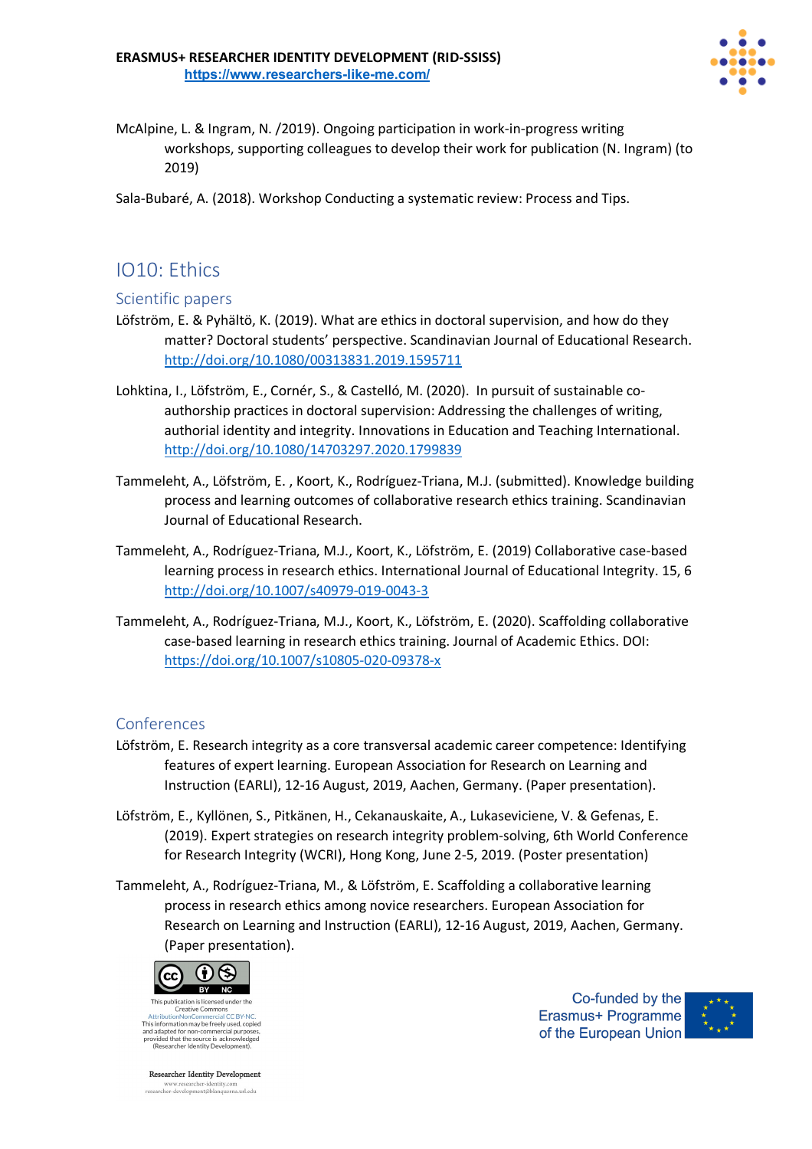

McAlpine, L. & Ingram, N. /2019). Ongoing participation in work-in-progress writing workshops, supporting colleagues to develop their work for publication (N. Ingram) (to 2019)

Sala-Bubaré, A. (2018). Workshop Conducting a systematic review: Process and Tips.

# IO10: Ethics

### Scientific papers

- Löfström, E. & Pyhältö, K. (2019). What are ethics in doctoral supervision, and how do they matter? Doctoral students' perspective. Scandinavian Journal of Educational Research. http://doi.org/10.1080/00313831.2019.1595711
- Lohktina, I., Löfström, E., Cornér, S., & Castelló, M. (2020). In pursuit of sustainable coauthorship practices in doctoral supervision: Addressing the challenges of writing, authorial identity and integrity. Innovations in Education and Teaching International. http://doi.org/10.1080/14703297.2020.1799839
- Tammeleht, A., Löfström, E. , Koort, K., Rodríguez-Triana, M.J. (submitted). Knowledge building process and learning outcomes of collaborative research ethics training. Scandinavian Journal of Educational Research.
- Tammeleht, A., Rodríguez-Triana, M.J., Koort, K., Löfström, E. (2019) Collaborative case-based learning process in research ethics. International Journal of Educational Integrity. 15, 6 http://doi.org/10.1007/s40979-019-0043-3
- Tammeleht, A., Rodríguez-Triana, M.J., Koort, K., Löfström, E. (2020). Scaffolding collaborative case-based learning in research ethics training. Journal of Academic Ethics. DOI: https://doi.org/10.1007/s10805-020-09378-x

### Conferences

- Löfström, E. Research integrity as a core transversal academic career competence: Identifying features of expert learning. European Association for Research on Learning and Instruction (EARLI), 12-16 August, 2019, Aachen, Germany. (Paper presentation).
- Löfström, E., Kyllönen, S., Pitkänen, H., Cekanauskaite, A., Lukaseviciene, V. & Gefenas, E. (2019). Expert strategies on research integrity problem-solving, 6th World Conference for Research Integrity (WCRI), Hong Kong, June 2-5, 2019. (Poster presentation)
- Tammeleht, A., Rodríguez-Triana, M., & Löfström, E. Scaffolding a collaborative learning process in research ethics among novice researchers. European Association for Research on Learning and Instruction (EARLI), 12-16 August, 2019, Aachen, Germany. (Paper presentation).



This information may be freely used, copied and adapted for non-commercial purpose<br>provided that the source is acknowledge<br>(Researcher Identity Development).

**Researcher Identity Development** www.researcher-identity.com<br>researcher-development@blanquerna.url.edu